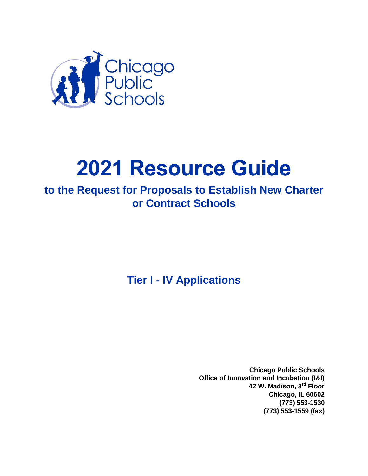

# **2021 Resource Guide**

# **to the Request for Proposals to Establish New Charter or Contract Schools**

**Tier I - IV Applications**

**Chicago Public Schools Office of Innovation and Incubation (I&I) 42 W. Madison, 3rd Floor Chicago, IL 60602 (773) 553-1530 (773) 553-1559 (fax)**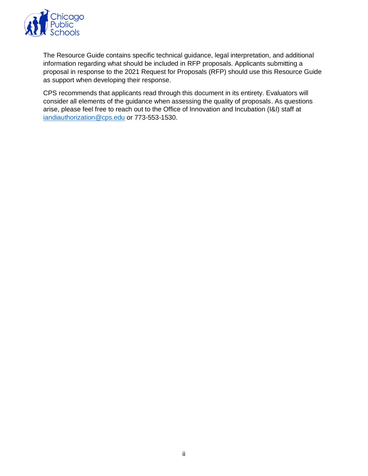

The Resource Guide contains specific technical guidance, legal interpretation, and additional information regarding what should be included in RFP proposals. Applicants submitting a proposal in response to the 2021 Request for Proposals (RFP) should use this Resource Guide as support when developing their response.

CPS recommends that applicants read through this document in its entirety. Evaluators will consider all elements of the guidance when assessing the quality of proposals. As questions arise, please feel free to reach out to the Office of Innovation and Incubation (I&I) staff at [iandiauthorization@cps.edu](mailto:iandiauthorization@cps.edu) or 773-553-1530.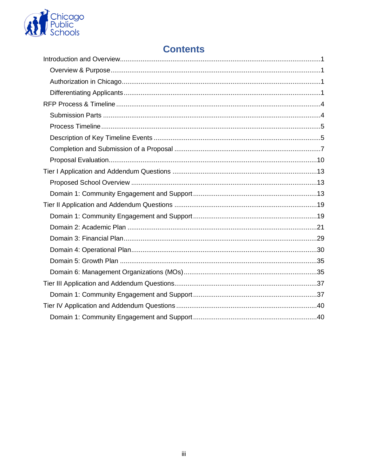

## **Contents**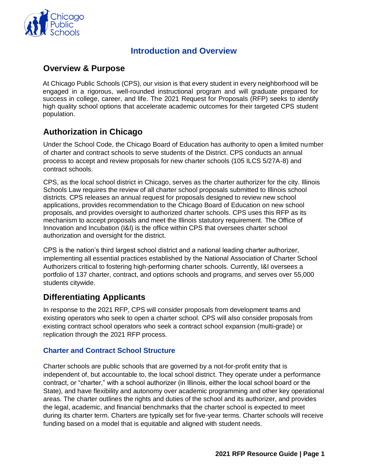

## **Introduction and Overview**

## <span id="page-3-1"></span><span id="page-3-0"></span>**Overview & Purpose**

At Chicago Public Schools (CPS), our vision is that every student in every neighborhood will be engaged in a rigorous, well-rounded instructional program and will graduate prepared for success in college, career, and life. The 2021 Request for Proposals (RFP) seeks to identify high quality school options that accelerate academic outcomes for their targeted CPS student population.

## <span id="page-3-2"></span>**Authorization in Chicago**

Under the School Code, the Chicago Board of Education has authority to open a limited number of charter and contract schools to serve students of the District. CPS conducts an annual process to accept and review proposals for new charter schools (105 ILCS 5/27A-8) and contract schools.

CPS, as the local school district in Chicago, serves as the charter authorizer for the city. Illinois Schools Law requires the review of all charter school proposals submitted to Illinois school districts. CPS releases an annual request for proposals designed to review new school applications, provides recommendation to the Chicago Board of Education on new school proposals, and provides oversight to authorized charter schools. CPS uses this RFP as its mechanism to accept proposals and meet the Illinois statutory requirement. The Office of Innovation and Incubation (I&I) is the office within CPS that oversees charter school authorization and oversight for the district.

CPS is the nation's third largest school district and a national leading charter authorizer, implementing all essential practices established by the National Association of Charter School Authorizers critical to fostering high-performing charter schools. Currently, I&I oversees a portfolio of 137 charter, contract, and options schools and programs, and serves over 55,000 students citywide.

## <span id="page-3-3"></span>**Differentiating Applicants**

In response to the 2021 RFP, CPS will consider proposals from development teams and existing operators who seek to open a charter school. CPS will also consider proposals from existing contract school operators who seek a contract school expansion (multi-grade) or replication through the 2021 RFP process.

#### **Charter and Contract School Structure**

Charter schools are public schools that are governed by a not-for-profit entity that is independent of, but accountable to, the local school district. They operate under a performance contract, or "charter," with a school authorizer (in Illinois, either the local school board or the State), and have flexibility and autonomy over academic programming and other key operational areas. The charter outlines the rights and duties of the school and its authorizer, and provides the legal, academic, and financial benchmarks that the charter school is expected to meet during its charter term. Charters are typically set for five-year terms. Charter schools will receive funding based on a model that is equitable and aligned with student needs.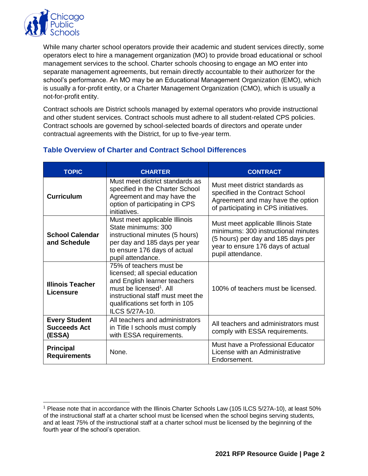

While many charter school operators provide their academic and student services directly, some operators elect to hire a management organization (MO) to provide broad educational or school management services to the school. Charter schools choosing to engage an MO enter into separate management agreements, but remain directly accountable to their authorizer for the school's performance. An MO may be an Educational Management Organization (EMO), which is usually a for-profit entity, or a Charter Management Organization (CMO), which is usually a not-for-profit entity.

Contract schools are District schools managed by external operators who provide instructional and other student services. Contract schools must adhere to all student-related CPS policies. Contract schools are governed by school-selected boards of directors and operate under contractual agreements with the District, for up to five-year term.

| <b>TOPIC</b>                                          | <b>CHARTER</b>                                                                                                                                                                                                              | <b>CONTRACT</b>                                                                                                                                                            |
|-------------------------------------------------------|-----------------------------------------------------------------------------------------------------------------------------------------------------------------------------------------------------------------------------|----------------------------------------------------------------------------------------------------------------------------------------------------------------------------|
| <b>Curriculum</b>                                     | Must meet district standards as<br>specified in the Charter School<br>Agreement and may have the<br>option of participating in CPS<br>initiatives.                                                                          | Must meet district standards as<br>specified in the Contract School<br>Agreement and may have the option<br>of participating in CPS initiatives.                           |
| <b>School Calendar</b><br>and Schedule                | Must meet applicable Illinois<br>State minimums: 300<br>instructional minutes (5 hours)<br>per day and 185 days per year<br>to ensure 176 days of actual<br>pupil attendance.                                               | Must meet applicable Illinois State<br>minimums: 300 instructional minutes<br>(5 hours) per day and 185 days per<br>year to ensure 176 days of actual<br>pupil attendance. |
| <b>Illinois Teacher</b><br><b>Licensure</b>           | 75% of teachers must be<br>licensed; all special education<br>and English learner teachers<br>must be licensed <sup>1</sup> . All<br>instructional staff must meet the<br>qualifications set forth in 105<br>ILCS 5/27A-10. | 100% of teachers must be licensed.                                                                                                                                         |
| <b>Every Student</b><br><b>Succeeds Act</b><br>(ESSA) | All teachers and administrators<br>in Title I schools must comply<br>with ESSA requirements.                                                                                                                                | All teachers and administrators must<br>comply with ESSA requirements.                                                                                                     |
| <b>Principal</b><br><b>Requirements</b>               | None.                                                                                                                                                                                                                       | Must have a Professional Educator<br>License with an Administrative<br>Endorsement.                                                                                        |

#### **Table Overview of Charter and Contract School Differences**

<sup>1</sup> Please note that in accordance with the Illinois Charter Schools Law (105 ILCS 5/27A-10), at least 50% of the instructional staff at a charter school must be licensed when the school begins serving students, and at least 75% of the instructional staff at a charter school must be licensed by the beginning of the fourth year of the school's operation.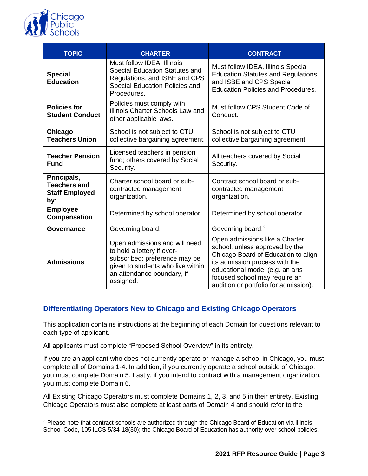

 $\overline{a}$ 

| <b>TOPIC</b>                                                       | <b>CHARTER</b>                                                                                                                                                               | <b>CONTRACT</b>                                                                                                                                                                                                                                        |
|--------------------------------------------------------------------|------------------------------------------------------------------------------------------------------------------------------------------------------------------------------|--------------------------------------------------------------------------------------------------------------------------------------------------------------------------------------------------------------------------------------------------------|
| <b>Special</b><br><b>Education</b>                                 | Must follow IDEA, Illinois<br>Special Education Statutes and<br>Regulations, and ISBE and CPS<br>Special Education Policies and<br>Procedures.                               | Must follow IDEA, Illinois Special<br><b>Education Statutes and Regulations,</b><br>and ISBE and CPS Special<br><b>Education Policies and Procedures.</b>                                                                                              |
| <b>Policies for</b><br><b>Student Conduct</b>                      | Policies must comply with<br>Illinois Charter Schools Law and<br>other applicable laws.                                                                                      | Must follow CPS Student Code of<br>Conduct.                                                                                                                                                                                                            |
| Chicago<br><b>Teachers Union</b>                                   | School is not subject to CTU<br>collective bargaining agreement.                                                                                                             | School is not subject to CTU<br>collective bargaining agreement.                                                                                                                                                                                       |
| <b>Teacher Pension</b><br><b>Fund</b>                              | Licensed teachers in pension<br>fund; others covered by Social<br>Security.                                                                                                  | All teachers covered by Social<br>Security.                                                                                                                                                                                                            |
| Principals,<br><b>Teachers and</b><br><b>Staff Employed</b><br>by: | Charter school board or sub-<br>contracted management<br>organization.                                                                                                       | Contract school board or sub-<br>contracted management<br>organization.                                                                                                                                                                                |
| <b>Employee</b><br><b>Compensation</b>                             | Determined by school operator.                                                                                                                                               | Determined by school operator.                                                                                                                                                                                                                         |
| <b>Governance</b>                                                  | Governing board.                                                                                                                                                             | Governing board. <sup>2</sup>                                                                                                                                                                                                                          |
| <b>Admissions</b>                                                  | Open admissions and will need<br>to hold a lottery if over-<br>subscribed; preference may be<br>given to students who live within<br>an attendance boundary, if<br>assigned. | Open admissions like a Charter<br>school, unless approved by the<br>Chicago Board of Education to align<br>its admission process with the<br>educational model (e.g. an arts<br>focused school may require an<br>audition or portfolio for admission). |

#### **Differentiating Operators New to Chicago and Existing Chicago Operators**

This application contains instructions at the beginning of each Domain for questions relevant to each type of applicant.

All applicants must complete "Proposed School Overview" in its entirety.

If you are an applicant who does not currently operate or manage a school in Chicago, you must complete all of Domains 1-4. In addition, if you currently operate a school outside of Chicago, you must complete Domain 5. Lastly, if you intend to contract with a management organization, you must complete Domain 6.

All Existing Chicago Operators must complete Domains 1, 2, 3, and 5 in their entirety. Existing Chicago Operators must also complete at least parts of Domain 4 and should refer to the

<sup>&</sup>lt;sup>2</sup> Please note that contract schools are authorized through the Chicago Board of Education via Illinois School Code, 105 ILCS 5/34-18(30); the Chicago Board of Education has authority over school policies.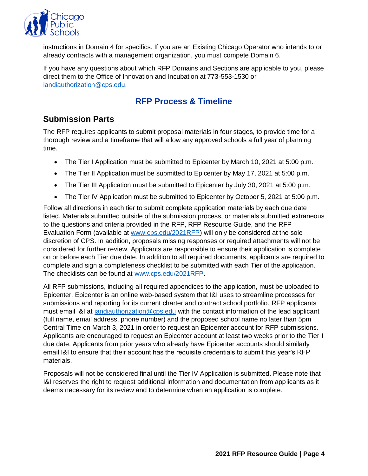

instructions in Domain 4 for specifics. If you are an Existing Chicago Operator who intends to or already contracts with a management organization, you must compete Domain 6.

If you have any questions about which RFP Domains and Sections are applicable to you, please direct them to the Office of Innovation and Incubation at 773-553-1530 or [iandiauthorization@cps.edu.](mailto:iandiauthorization@cps.edu)

## **RFP Process & Timeline**

## <span id="page-6-1"></span><span id="page-6-0"></span>**Submission Parts**

The RFP requires applicants to submit proposal materials in four stages, to provide time for a thorough review and a timeframe that will allow any approved schools a full year of planning time.

- The Tier I Application must be submitted to Epicenter by March 10, 2021 at 5:00 p.m.
- The Tier II Application must be submitted to Epicenter by May 17, 2021 at 5:00 p.m.
- The Tier III Application must be submitted to Epicenter by July 30, 2021 at 5:00 p.m.
- The Tier IV Application must be submitted to Epicenter by October 5, 2021 at 5:00 p.m.

Follow all directions in each tier to submit complete application materials by each due date listed. Materials submitted outside of the submission process, or materials submitted extraneous to the questions and criteria provided in the RFP, RFP Resource Guide, and the RFP Evaluation Form (available at [www.cps.edu/2021RFP\)](http://www.cps.edu/2021RFP) will only be considered at the sole discretion of CPS. In addition, proposals missing responses or required attachments will not be considered for further review. Applicants are responsible to ensure their application is complete on or before each Tier due date. In addition to all required documents, applicants are required to complete and sign a completeness checklist to be submitted with each Tier of the application. The checklists can be found at [www.cps.edu/2021RFP.](http://www.cps.edu/2021RFP)

All RFP submissions, including all required appendices to the application, must be uploaded to Epicenter. Epicenter is an online web-based system that I&I uses to streamline processes for submissions and reporting for its current charter and contract school portfolio. RFP applicants must email I&I at [iandiauthorization@cps.edu](mailto:iandiauthorization@cps.edu) with the contact information of the lead applicant (full name, email address, phone number) and the proposed school name no later than 5pm Central Time on March 3, 2021 in order to request an Epicenter account for RFP submissions. Applicants are encouraged to request an Epicenter account at least two weeks prior to the Tier I due date. Applicants from prior years who already have Epicenter accounts should similarly email I&I to ensure that their account has the requisite credentials to submit this year's RFP materials.

Proposals will not be considered final until the Tier IV Application is submitted. Please note that I&I reserves the right to request additional information and documentation from applicants as it deems necessary for its review and to determine when an application is complete.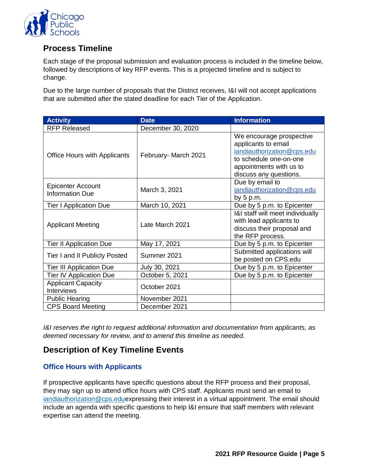

## <span id="page-7-0"></span>**Process Timeline**

Each stage of the proposal submission and evaluation process is included in the timeline below, followed by descriptions of key RFP events. This is a projected timeline and is subject to change.

Due to the large number of proposals that the District receives, I&I will not accept applications that are submitted after the stated deadline for each Tier of the Application.

| <b>Activity</b>                                | <b>Date</b>          | <b>Information</b>                                                                                                                                           |
|------------------------------------------------|----------------------|--------------------------------------------------------------------------------------------------------------------------------------------------------------|
| <b>RFP Released</b>                            | December 30, 2020    |                                                                                                                                                              |
| <b>Office Hours with Applicants</b>            | February- March 2021 | We encourage prospective<br>applicants to email<br>iandiauthorization@cps.edu<br>to schedule one-on-one<br>appointments with us to<br>discuss any questions. |
| <b>Epicenter Account</b><br>Information Due    | March 3, 2021        | Due by email to<br>iandiauthorization@cps.edu<br>by $5 p.m.$                                                                                                 |
| <b>Tier I Application Due</b>                  | March 10, 2021       | Due by 5 p.m. to Epicenter                                                                                                                                   |
| <b>Applicant Meeting</b>                       | Late March 2021      | I&I staff will meet individually<br>with lead applicants to<br>discuss their proposal and<br>the RFP process.                                                |
| <b>Tier II Application Due</b>                 | May 17, 2021         | Due by 5 p.m. to Epicenter                                                                                                                                   |
| Tier I and II Publicly Posted                  | Summer 2021          | Submitted applications will<br>be posted on CPS.edu                                                                                                          |
| <b>Tier III Application Due</b>                | July 30, 2021        | Due by 5 p.m. to Epicenter                                                                                                                                   |
| <b>Tier IV Application Due</b>                 | October 5, 2021      | Due by 5 p.m. to Epicenter                                                                                                                                   |
| <b>Applicant Capacity</b><br><b>Interviews</b> | October 2021         |                                                                                                                                                              |
| <b>Public Hearing</b>                          | November 2021        |                                                                                                                                                              |
| <b>CPS Board Meeting</b>                       | December 2021        |                                                                                                                                                              |

*I&I reserves the right to request additional information and documentation from applicants, as deemed necessary for review, and to amend this timeline as needed.*

## <span id="page-7-1"></span>**Description of Key Timeline Events**

#### **Office Hours with Applicants**

If prospective applicants have specific questions about the RFP process and their proposal, they may sign up to attend office hours with CPS staff. Applicants must send an email to [iandiauthorization@cps.edue](mailto:iandiauthorization@cps.edu)xpressing their interest in a virtual appointment. The email should include an agenda with specific questions to help I&I ensure that staff members with relevant expertise can attend the meeting.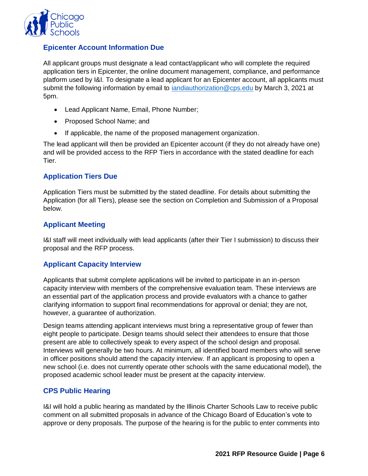

#### **Epicenter Account Information Due**

All applicant groups must designate a lead contact/applicant who will complete the required application tiers in Epicenter, the online document management, compliance, and performance platform used by I&I. To designate a lead applicant for an Epicenter account, all applicants must submit the following information by email to [iandiauthorization@cps.edu](mailto:iandiauthorization@cps.edu) by March 3, 2021 at 5pm.

- Lead Applicant Name, Email, Phone Number;
- Proposed School Name; and
- If applicable, the name of the proposed management organization.

The lead applicant will then be provided an Epicenter account (if they do not already have one) and will be provided access to the RFP Tiers in accordance with the stated deadline for each Tier.

#### **Application Tiers Due**

Application Tiers must be submitted by the stated deadline. For details about submitting the Application (for all Tiers), please see the section on Completion and Submission of a Proposal below.

#### **Applicant Meeting**

I&I staff will meet individually with lead applicants (after their Tier I submission) to discuss their proposal and the RFP process.

#### **Applicant Capacity Interview**

Applicants that submit complete applications will be invited to participate in an in-person capacity interview with members of the comprehensive evaluation team. These interviews are an essential part of the application process and provide evaluators with a chance to gather clarifying information to support final recommendations for approval or denial; they are not, however, a guarantee of authorization.

Design teams attending applicant interviews must bring a representative group of fewer than eight people to participate. Design teams should select their attendees to ensure that those present are able to collectively speak to every aspect of the school design and proposal. Interviews will generally be two hours. At minimum, all identified board members who will serve in officer positions should attend the capacity interview. If an applicant is proposing to open a new school (i.e. does not currently operate other schools with the same educational model), the proposed academic school leader must be present at the capacity interview.

#### **CPS Public Hearing**

I&I will hold a public hearing as mandated by the Illinois Charter Schools Law to receive public comment on all submitted proposals in advance of the Chicago Board of Education's vote to approve or deny proposals. The purpose of the hearing is for the public to enter comments into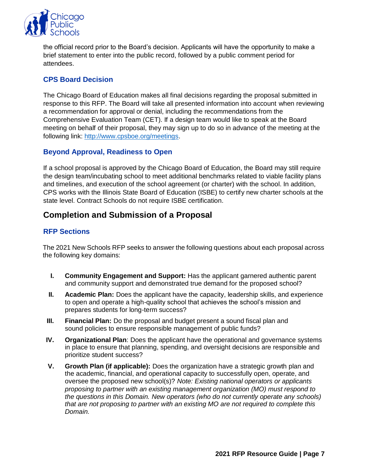

the official record prior to the Board's decision. Applicants will have the opportunity to make a brief statement to enter into the public record, followed by a public comment period for attendees.

#### **CPS Board Decision**

The Chicago Board of Education makes all final decisions regarding the proposal submitted in response to this RFP. The Board will take all presented information into account when reviewing a recommendation for approval or denial, including the recommendations from the Comprehensive Evaluation Team (CET). If a design team would like to speak at the Board meeting on behalf of their proposal, they may sign up to do so in advance of the meeting at the following link: [http://www.cpsboe.org/meetings.](http://www.cpsboe.org/meetings)

#### **Beyond Approval, Readiness to Open**

If a school proposal is approved by the Chicago Board of Education, the Board may still require the design team/incubating school to meet additional benchmarks related to viable facility plans and timelines, and execution of the school agreement (or charter) with the school. In addition, CPS works with the Illinois State Board of Education (ISBE) to certify new charter schools at the state level. Contract Schools do not require ISBE certification.

## <span id="page-9-0"></span>**Completion and Submission of a Proposal**

#### **RFP Sections**

The 2021 New Schools RFP seeks to answer the following questions about each proposal across the following key domains:

- **I. Community Engagement and Support:** Has the applicant garnered authentic parent and community support and demonstrated true demand for the proposed school?
- **II. Academic Plan:** Does the applicant have the capacity, leadership skills, and experience to open and operate a high-quality school that achieves the school's mission and prepares students for long-term success?
- **III. Financial Plan:** Do the proposal and budget present a sound fiscal plan and sound policies to ensure responsible management of public funds?
- **IV. Organizational Plan**: Does the applicant have the operational and governance systems in place to ensure that planning, spending, and oversight decisions are responsible and prioritize student success?
- **V. Growth Plan (if applicable):** Does the organization have a strategic growth plan and the academic, financial, and operational capacity to successfully open, operate, and oversee the proposed new school(s)? *Note: Existing national operators or applicants proposing to partner with an existing management organization (MO) must respond to the questions in this Domain. New operators (who do not currently operate any schools) that are not proposing to partner with an existing MO are not required to complete this Domain.*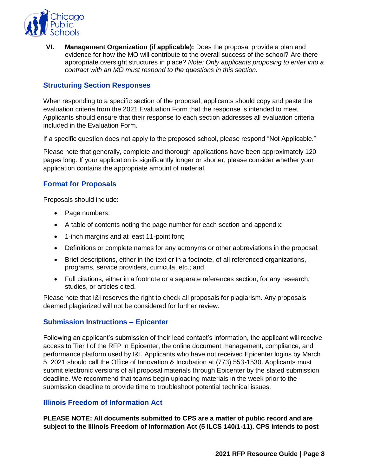

**VI. Management Organization (if applicable):** Does the proposal provide a plan and evidence for how the MO will contribute to the overall success of the school? Are there appropriate oversight structures in place? *Note: Only applicants proposing to enter into a contract with an MO must respond to the questions in this section.*

#### **Structuring Section Responses**

When responding to a specific section of the proposal, applicants should copy and paste the evaluation criteria from the 2021 Evaluation Form that the response is intended to meet. Applicants should ensure that their response to each section addresses all evaluation criteria included in the Evaluation Form.

If a specific question does not apply to the proposed school, please respond "Not Applicable."

Please note that generally, complete and thorough applications have been approximately 120 pages long. If your application is significantly longer or shorter, please consider whether your application contains the appropriate amount of material.

#### **Format for Proposals**

Proposals should include:

- Page numbers;
- A table of contents noting the page number for each section and appendix;
- 1-inch margins and at least 11-point font;
- Definitions or complete names for any acronyms or other abbreviations in the proposal;
- Brief descriptions, either in the text or in a footnote, of all referenced organizations, programs, service providers, curricula, etc.; and
- Full citations, either in a footnote or a separate references section, for any research, studies, or articles cited.

Please note that I&I reserves the right to check all proposals for plagiarism. Any proposals deemed plagiarized will not be considered for further review.

#### **Submission Instructions – Epicenter**

Following an applicant's submission of their lead contact's information, the applicant will receive access to Tier I of the RFP in Epicenter, the online document management, compliance, and performance platform used by I&I. Applicants who have not received Epicenter logins by March 5, 2021 should call the Office of Innovation & Incubation at (773) 553-1530. Applicants must submit electronic versions of all proposal materials through Epicenter by the stated submission deadline. We recommend that teams begin uploading materials in the week prior to the submission deadline to provide time to troubleshoot potential technical issues.

#### **Illinois Freedom of Information Act**

**PLEASE NOTE: All documents submitted to CPS are a matter of public record and are subject to the Illinois Freedom of Information Act (5 ILCS 140/1-11). CPS intends to post**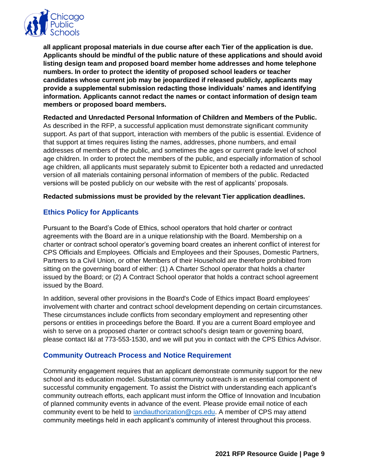

**all applicant proposal materials in due course after each Tier of the application is due. Applicants should be mindful of the public nature of these applications and should avoid listing design team and proposed board member home addresses and home telephone numbers. In order to protect the identity of proposed school leaders or teacher candidates whose current job may be jeopardized if released publicly, applicants may provide a supplemental submission redacting those individuals' names and identifying information. Applicants cannot redact the names or contact information of design team members or proposed board members.** 

**Redacted and Unredacted Personal Information of Children and Members of the Public.**  As described in the RFP, a successful application must demonstrate significant community support. As part of that support, interaction with members of the public is essential. Evidence of that support at times requires listing the names, addresses, phone numbers, and email addresses of members of the public, and sometimes the ages or current grade level of school age children. In order to protect the members of the public, and especially information of school age children, all applicants must separately submit to Epicenter both a redacted and unredacted version of all materials containing personal information of members of the public. Redacted versions will be posted publicly on our website with the rest of applicants' proposals.

#### **Redacted submissions must be provided by the relevant Tier application deadlines.**

#### **Ethics Policy for Applicants**

Pursuant to the Board's Code of Ethics, school operators that hold charter or contract agreements with the Board are in a unique relationship with the Board. Membership on a charter or contract school operator's governing board creates an inherent conflict of interest for CPS Officials and Employees. Officials and Employees and their Spouses, Domestic Partners, Partners to a Civil Union, or other Members of their Household are therefore prohibited from sitting on the governing board of either: (1) A Charter School operator that holds a charter issued by the Board; or (2) A Contract School operator that holds a contract school agreement issued by the Board.

In addition, several other provisions in the Board's Code of Ethics impact Board employees' involvement with charter and contract school development depending on certain circumstances. These circumstances include conflicts from secondary employment and representing other persons or entities in proceedings before the Board. If you are a current Board employee and wish to serve on a proposed charter or contract school's design team or governing board, please contact I&I at 773-553-1530, and we will put you in contact with the CPS Ethics Advisor.

#### **Community Outreach Process and Notice Requirement**

Community engagement requires that an applicant demonstrate community support for the new school and its education model. Substantial community outreach is an essential component of successful community engagement. To assist the District with understanding each applicant's community outreach efforts, each applicant must inform the Office of Innovation and Incubation of planned community events in advance of the event. Please provide email notice of each community event to be held to [iandiauthorization@cps.edu.](mailto:iandiauthorization@cps.edu) A member of CPS may attend community meetings held in each applicant's community of interest throughout this process.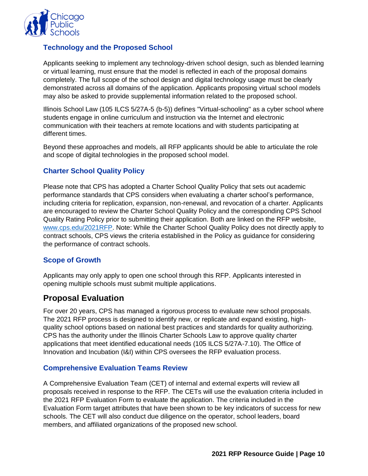

#### **Technology and the Proposed School**

Applicants seeking to implement any technology-driven school design, such as blended learning or virtual learning, must ensure that the model is reflected in each of the proposal domains completely. The full scope of the school design and digital technology usage must be clearly demonstrated across all domains of the application. Applicants proposing virtual school models may also be asked to provide supplemental information related to the proposed school.

Illinois School Law (105 ILCS 5/27A-5 (b-5)) defines "Virtual-schooling" as a cyber school where students engage in online curriculum and instruction via the Internet and electronic communication with their teachers at remote locations and with students participating at different times.

Beyond these approaches and models, all RFP applicants should be able to articulate the role and scope of digital technologies in the proposed school model.

#### **Charter School Quality Policy**

Please note that CPS has adopted a Charter School Quality Policy that sets out academic performance standards that CPS considers when evaluating a charter school's performance, including criteria for replication, expansion, non-renewal, and revocation of a charter. Applicants are encouraged to review the Charter School Quality Policy and the corresponding CPS School Quality Rating Policy prior to submitting their application. Both are linked on the RFP website, [www.cps.edu/2021RFP.](http://www.cps.edu/2021RFP) Note: While the Charter School Quality Policy does not directly apply to contract schools, CPS views the criteria established in the Policy as guidance for considering the performance of contract schools.

#### **Scope of Growth**

Applicants may only apply to open one school through this RFP. Applicants interested in opening multiple schools must submit multiple applications.

## <span id="page-12-0"></span>**Proposal Evaluation**

For over 20 years, CPS has managed a rigorous process to evaluate new school proposals. The 2021 RFP process is designed to identify new, or replicate and expand existing, highquality school options based on national best practices and standards for quality authorizing. CPS has the authority under the Illinois Charter Schools Law to approve quality charter applications that meet identified educational needs (105 ILCS 5/27A-7.10). The Office of Innovation and Incubation (I&I) within CPS oversees the RFP evaluation process.

#### **Comprehensive Evaluation Teams Review**

A Comprehensive Evaluation Team (CET) of internal and external experts will review all proposals received in response to the RFP. The CETs will use the evaluation criteria included in the 2021 RFP Evaluation Form to evaluate the application. The criteria included in the Evaluation Form target attributes that have been shown to be key indicators of success for new schools. The CET will also conduct due diligence on the operator, school leaders, board members, and affiliated organizations of the proposed new school.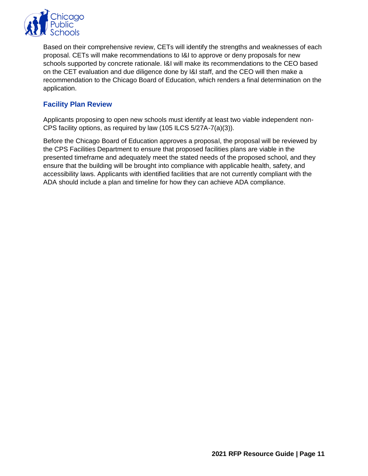

Based on their comprehensive review, CETs will identify the strengths and weaknesses of each proposal. CETs will make recommendations to I&I to approve or deny proposals for new schools supported by concrete rationale. I&I will make its recommendations to the CEO based on the CET evaluation and due diligence done by I&I staff, and the CEO will then make a recommendation to the Chicago Board of Education, which renders a final determination on the application.

#### **Facility Plan Review**

Applicants proposing to open new schools must identify at least two viable independent non-CPS facility options, as required by law (105 ILCS 5/27A-7(a)(3)).

Before the Chicago Board of Education approves a proposal, the proposal will be reviewed by the CPS Facilities Department to ensure that proposed facilities plans are viable in the presented timeframe and adequately meet the stated needs of the proposed school, and they ensure that the building will be brought into compliance with applicable health, safety, and accessibility laws. Applicants with identified facilities that are not currently compliant with the ADA should include a plan and timeline for how they can achieve ADA compliance.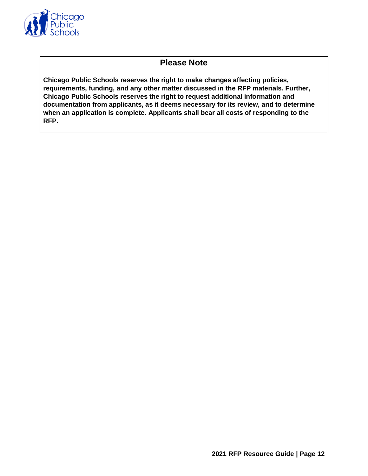

## **Please Note**

**Chicago Public Schools reserves the right to make changes affecting policies, requirements, funding, and any other matter discussed in the RFP materials. Further, Chicago Public Schools reserves the right to request additional information and documentation from applicants, as it deems necessary for its review, and to determine when an application is complete. Applicants shall bear all costs of responding to the RFP.**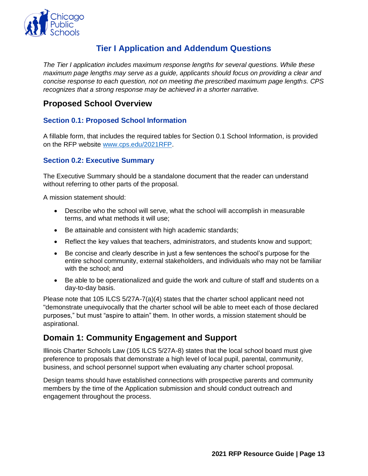

## **Tier I Application and Addendum Questions**

<span id="page-15-0"></span>*The Tier I application includes maximum response lengths for several questions. While these maximum page lengths may serve as a guide, applicants should focus on providing a clear and concise response to each question, not on meeting the prescribed maximum page lengths. CPS recognizes that a strong response may be achieved in a shorter narrative.* 

## <span id="page-15-1"></span>**Proposed School Overview**

#### **Section 0.1: Proposed School Information**

A fillable form, that includes the required tables for Section 0.1 School Information, is provided on the RFP website [www.cps.edu/2021RFP.](http://www.cps.edu/2021RFP)

#### **Section 0.2: Executive Summary**

The Executive Summary should be a standalone document that the reader can understand without referring to other parts of the proposal.

A mission statement should:

- Describe who the school will serve, what the school will accomplish in measurable terms, and what methods it will use;
- Be attainable and consistent with high academic standards;
- Reflect the key values that teachers, administrators, and students know and support;
- Be concise and clearly describe in just a few sentences the school's purpose for the entire school community, external stakeholders, and individuals who may not be familiar with the school; and
- Be able to be operationalized and guide the work and culture of staff and students on a day-to-day basis.

Please note that 105 ILCS 5/27A-7(a)(4) states that the charter school applicant need not "demonstrate unequivocally that the charter school will be able to meet each of those declared purposes," but must "aspire to attain" them. In other words, a mission statement should be aspirational.

## <span id="page-15-2"></span>**Domain 1: Community Engagement and Support**

Illinois Charter Schools Law (105 ILCS 5/27A-8) states that the local school board must give preference to proposals that demonstrate a high level of local pupil, parental, community, business, and school personnel support when evaluating any charter school proposal.

Design teams should have established connections with prospective parents and community members by the time of the Application submission and should conduct outreach and engagement throughout the process.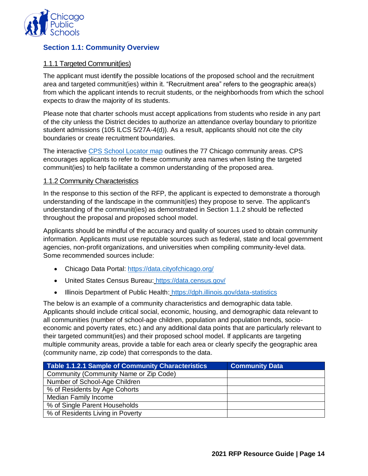

#### **Section 1.1: Community Overview**

#### 1.1.1 Targeted Communit(ies)

The applicant must identify the possible locations of the proposed school and the recruitment area and targeted communit(ies) within it. "Recruitment area" refers to the geographic area(s) from which the applicant intends to recruit students, or the neighborhoods from which the school expects to draw the majority of its students.

Please note that charter schools must accept applications from students who reside in any part of the city unless the District decides to authorize an attendance overlay boundary to prioritize student admissions (105 ILCS 5/27A-4(d)). As a result, applicants should not cite the city boundaries or create recruitment boundaries.

The interactive [CPS School Locator map](https://schoolinfo.cps.edu/schoollocator/index.html) outlines the 77 Chicago community areas. CPS encourages applicants to refer to these community area names when listing the targeted communit(ies) to help facilitate a common understanding of the proposed area.

#### 1.1.2 Community Characteristics

In the response to this section of the RFP, the applicant is expected to demonstrate a thorough understanding of the landscape in the communit(ies) they propose to serve. The applicant's understanding of the communit(ies) as demonstrated in Section 1.1.2 should be reflected throughout the proposal and proposed school model.

Applicants should be mindful of the accuracy and quality of sources used to obtain community information. Applicants must use reputable sources such as federal, state and local government agencies, non-profit organizations, and universities when compiling community-level data. Some recommended sources include:

- Chicago Data Portal:<https://data.cityofchicago.org/>
- United States Census Bureau: <https://data.census.gov/>
- Illinois Department of Public Health: <https://dph.illinois.gov/data-statistics>

The below is an example of a community characteristics and demographic data table. Applicants should include critical social, economic, housing, and demographic data relevant to all communities (number of school-age children, population and population trends, socioeconomic and poverty rates, etc.) and any additional data points that are particularly relevant to their targeted communit(ies) and their proposed school model. If applicants are targeting multiple community areas, provide a table for each area or clearly specify the geographic area (community name, zip code) that corresponds to the data.

| Table 1.1.2.1 Sample of Community Characteristics | <b>Community Data</b> |
|---------------------------------------------------|-----------------------|
| Community (Community Name or Zip Code)            |                       |
| Number of School-Age Children                     |                       |
| % of Residents by Age Cohorts                     |                       |
| Median Family Income                              |                       |
| % of Single Parent Households                     |                       |
| % of Residents Living in Poverty                  |                       |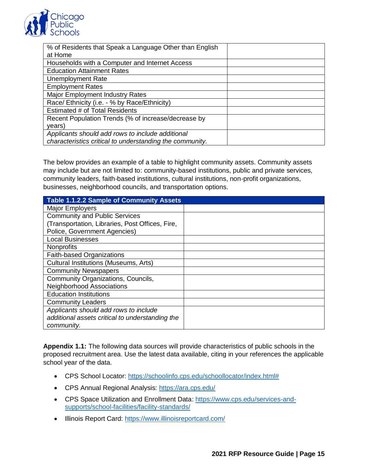

| % of Residents that Speak a Language Other than English<br>at Home |  |
|--------------------------------------------------------------------|--|
| Households with a Computer and Internet Access                     |  |
| <b>Education Attainment Rates</b>                                  |  |
| <b>Unemployment Rate</b>                                           |  |
| <b>Employment Rates</b>                                            |  |
| <b>Major Employment Industry Rates</b>                             |  |
| Race/Ethnicity (i.e. - % by Race/Ethnicity)                        |  |
| Estimated # of Total Residents                                     |  |
| Recent Population Trends (% of increase/decrease by                |  |
| years)                                                             |  |
| Applicants should add rows to include additional                   |  |
| characteristics critical to understanding the community.           |  |

The below provides an example of a table to highlight community assets. Community assets may include but are not limited to: community-based institutions, public and private services, community leaders, faith-based institutions, cultural institutions, non-profit organizations, businesses, neighborhood councils, and transportation options.

| Table 1.1.2.2 Sample of Community Assets        |  |
|-------------------------------------------------|--|
| <b>Major Employers</b>                          |  |
| <b>Community and Public Services</b>            |  |
| (Transportation, Libraries, Post Offices, Fire, |  |
| Police, Government Agencies)                    |  |
| <b>Local Businesses</b>                         |  |
| <b>Nonprofits</b>                               |  |
| Faith-based Organizations                       |  |
| <b>Cultural Institutions (Museums, Arts)</b>    |  |
| <b>Community Newspapers</b>                     |  |
| Community Organizations, Councils,              |  |
| <b>Neighborhood Associations</b>                |  |
| <b>Education Institutions</b>                   |  |
| <b>Community Leaders</b>                        |  |
| Applicants should add rows to include           |  |
| additional assets critical to understanding the |  |
| community.                                      |  |

**Appendix 1.1:** The following data sources will provide characteristics of public schools in the proposed recruitment area. Use the latest data available, citing in your references the applicable school year of the data.

- CPS School Locator: [https://schoolinfo.cps.edu/schoollocator/index.html#](https://schoolinfo.cps.edu/schoollocator/index.html)
- CPS Annual Regional Analysis:<https://ara.cps.edu/>
- CPS Space Utilization and Enrollment Data: [https://www.cps.edu/services-and](https://www.cps.edu/services-and-supports/school-facilities/facility-standards/)[supports/school-facilities/facility-standards/](https://www.cps.edu/services-and-supports/school-facilities/facility-standards/)
- Illinois Report Card:<https://www.illinoisreportcard.com/>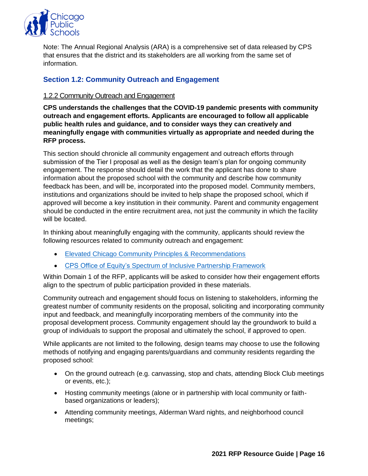

Note: The Annual Regional Analysis (ARA) is a comprehensive set of data released by CPS that ensures that the district and its stakeholders are all working from the same set of information.

#### **Section 1.2: Community Outreach and Engagement**

#### 1.2.2 Community Outreach and Engagement

**CPS understands the challenges that the COVID-19 pandemic presents with community outreach and engagement efforts. Applicants are encouraged to follow all applicable public health rules and guidance, and to consider ways they can creatively and meaningfully engage with communities virtually as appropriate and needed during the RFP process.**

This section should chronicle all community engagement and outreach efforts through submission of the Tier I proposal as well as the design team's plan for ongoing community engagement. The response should detail the work that the applicant has done to share information about the proposed school with the community and describe how community feedback has been, and will be, incorporated into the proposed model. Community members, institutions and organizations should be invited to help shape the proposed school, which if approved will become a key institution in their community. Parent and community engagement should be conducted in the entire recruitment area, not just the community in which the facility will be located.

In thinking about meaningfully engaging with the community, applicants should review the following resources related to community outreach and engagement:

- [Elevated Chicago Community Principles & Recommendations](https://www.elevatedchicago.org/Elevated%20Community%20Engagement%20Principles-Digital.pdf)
- [CPS Office of Equity's Spectrum of Inclusive Partnership Framework](https://assets-global.website-files.com/5e72518058686ec4adae1482/5f64da01bc49c42de0d71f2e_Spectrum%20of%20Inclusive%20Partnerships%20Interactive%20200917.pdf)

Within Domain 1 of the RFP, applicants will be asked to consider how their engagement efforts align to the spectrum of public participation provided in these materials.

Community outreach and engagement should focus on listening to stakeholders, informing the greatest number of community residents on the proposal, soliciting and incorporating community input and feedback, and meaningfully incorporating members of the community into the proposal development process. Community engagement should lay the groundwork to build a group of individuals to support the proposal and ultimately the school, if approved to open.

While applicants are not limited to the following, design teams may choose to use the following methods of notifying and engaging parents/guardians and community residents regarding the proposed school:

- On the ground outreach (e.g. canvassing, stop and chats, attending Block Club meetings or events, etc.);
- Hosting community meetings (alone or in partnership with local community or faithbased organizations or leaders);
- Attending community meetings, Alderman Ward nights, and neighborhood council meetings;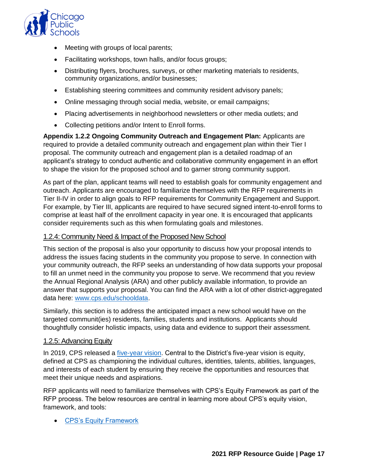

- Meeting with groups of local parents;
- Facilitating workshops, town halls, and/or focus groups;
- Distributing flyers, brochures, surveys, or other marketing materials to residents, community organizations, and/or businesses;
- Establishing steering committees and community resident advisory panels;
- Online messaging through social media, website, or email campaigns;
- Placing advertisements in neighborhood newsletters or other media outlets; and
- Collecting petitions and/or Intent to Enroll forms.

**Appendix 1.2.2 Ongoing Community Outreach and Engagement Plan:** Applicants are required to provide a detailed community outreach and engagement plan within their Tier I proposal. The community outreach and engagement plan is a detailed roadmap of an applicant's strategy to conduct authentic and collaborative community engagement in an effort to shape the vision for the proposed school and to garner strong community support.

As part of the plan, applicant teams will need to establish goals for community engagement and outreach. Applicants are encouraged to familiarize themselves with the RFP requirements in Tier II-IV in order to align goals to RFP requirements for Community Engagement and Support. For example, by Tier III, applicants are required to have secured signed intent-to-enroll forms to comprise at least half of the enrollment capacity in year one. It is encouraged that applicants consider requirements such as this when formulating goals and milestones.

#### 1.2.4: Community Need & Impact of the Proposed New School

This section of the proposal is also your opportunity to discuss how your proposal intends to address the issues facing students in the community you propose to serve. In connection with your community outreach, the RFP seeks an understanding of how data supports your proposal to fill an unmet need in the community you propose to serve. We recommend that you review the Annual Regional Analysis (ARA) and other publicly available information, to provide an answer that supports your proposal. You can find the ARA with a lot of other district-aggregated data here: [www.cps.edu/schooldata.](http://www.cps.edu/schooldata)

Similarly, this section is to address the anticipated impact a new school would have on the targeted communit(ies) residents, families, students and institutions. Applicants should thoughtfully consider holistic impacts, using data and evidence to support their assessment.

#### 1.2.5: Advancing Equity

In 2019, CPS released a [five-year vision.](https://www.cps.edu/about/vision/) Central to the District's five-year vision is equity, defined at CPS as championing the individual cultures, identities, talents, abilities, languages, and interests of each student by ensuring they receive the opportunities and resources that meet their unique needs and aspirations.

RFP applicants will need to familiarize themselves with CPS's Equity Framework as part of the RFP process. The below resources are central in learning more about CPS's equity vision, framework, and tools:

• [CPS's Equity Framework](https://assets.website-files.com/5e724f7b19f97014d5cb21c4/5f6cefddde4bd525d0c0a5fb_cps-equity-framework.pdf)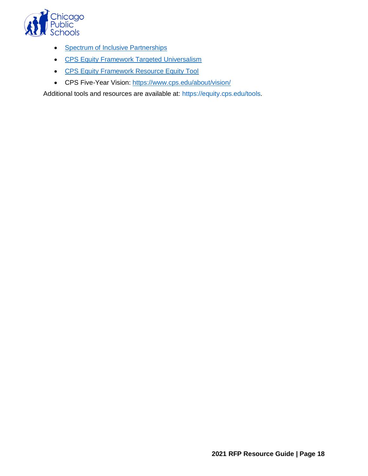

- [Spectrum of Inclusive Partnerships](https://assets-global.website-files.com/5e72518058686ec4adae1482/5f64da01bc49c42de0d71f2e_Spectrum%20of%20Inclusive%20Partnerships%20Interactive%20200917.pdf)
- [CPS Equity Framework Targeted Universalism](https://assets-global.website-files.com/5e72518058686ec4adae1482/5f64da1b0e59e666dcb6ffd9_Targeted%20Universalism%20Interactive%20-%20200917.pdf)
- [CPS Equity Framework Resource Equity Tool](https://assets-global.website-files.com/5e72518058686ec4adae1482/5f64d9e61b299d78bbb334b3_Resource%20Equity%20Tool%20Interactive%20201709.pdf)
- CPS Five-Year Vision:<https://www.cps.edu/about/vision/>

Additional tools and resources are available at: [https://equity.cps.edu/tools.](https://equity.cps.edu/tools)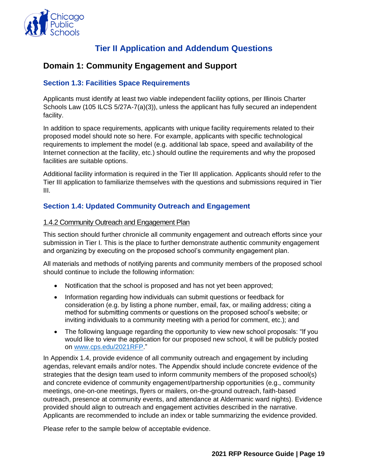

## **Tier II Application and Addendum Questions**

## <span id="page-21-1"></span><span id="page-21-0"></span>**Domain 1: Community Engagement and Support**

#### **Section 1.3: Facilities Space Requirements**

Applicants must identify at least two viable independent facility options, per Illinois Charter Schools Law (105 ILCS 5/27A-7(a)(3)), unless the applicant has fully secured an independent facility.

In addition to space requirements, applicants with unique facility requirements related to their proposed model should note so here. For example, applicants with specific technological requirements to implement the model (e.g. additional lab space, speed and availability of the Internet connection at the facility, etc.) should outline the requirements and why the proposed facilities are suitable options.

Additional facility information is required in the Tier III application. Applicants should refer to the Tier III application to familiarize themselves with the questions and submissions required in Tier III.

#### **Section 1.4: Updated Community Outreach and Engagement**

#### 1.4.2 Community Outreach and Engagement Plan

This section should further chronicle all community engagement and outreach efforts since your submission in Tier I. This is the place to further demonstrate authentic community engagement and organizing by executing on the proposed school's community engagement plan.

All materials and methods of notifying parents and community members of the proposed school should continue to include the following information:

- Notification that the school is proposed and has not yet been approved;
- Information regarding how individuals can submit questions or feedback for consideration (e.g. by listing a phone number, email, fax, or mailing address; citing a method for submitting comments or questions on the proposed school's website; or inviting individuals to a community meeting with a period for comment, etc.); and
- The following language regarding the opportunity to view new school proposals: "If you would like to view the application for our proposed new school, it will be publicly posted on [www.cps.edu/2021RFP.](http://www.cps.edu/2021RFP)"

In Appendix 1.4, provide evidence of all community outreach and engagement by including agendas, relevant emails and/or notes. The Appendix should include concrete evidence of the strategies that the design team used to inform community members of the proposed school(s) and concrete evidence of community engagement/partnership opportunities (e.g., community meetings, one-on-one meetings, flyers or mailers, on-the-ground outreach, faith-based outreach, presence at community events, and attendance at Aldermanic ward nights). Evidence provided should align to outreach and engagement activities described in the narrative. Applicants are recommended to include an index or table summarizing the evidence provided.

Please refer to the sample below of acceptable evidence.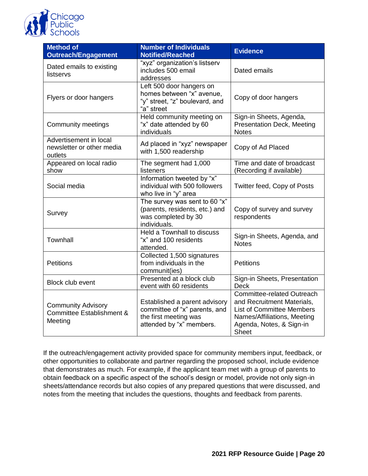

| <b>Method of</b><br><b>Outreach/Engagement</b>                               | <b>Number of Individuals</b><br><b>Notified/Reached</b>                                                             | <b>Evidence</b>                                                                                                                                                         |
|------------------------------------------------------------------------------|---------------------------------------------------------------------------------------------------------------------|-------------------------------------------------------------------------------------------------------------------------------------------------------------------------|
| Dated emails to existing<br>listservs                                        | "xyz" organization's listserv<br>includes 500 email<br>addresses                                                    | Dated emails                                                                                                                                                            |
| Flyers or door hangers                                                       | Left 500 door hangers on<br>homes between "x" avenue,<br>"y" street, "z" boulevard, and<br>"a" street               | Copy of door hangers                                                                                                                                                    |
| <b>Community meetings</b>                                                    | Held community meeting on<br>"x" date attended by 60<br>individuals                                                 | Sign-in Sheets, Agenda,<br><b>Presentation Deck, Meeting</b><br><b>Notes</b>                                                                                            |
| Advertisement in local<br>newsletter or other media<br>outlets               | Ad placed in "xyz" newspaper<br>with 1,500 readership                                                               | Copy of Ad Placed                                                                                                                                                       |
| Appeared on local radio<br>show                                              | The segment had 1,000<br>listeners                                                                                  | Time and date of broadcast<br>(Recording if available)                                                                                                                  |
| Social media                                                                 | Information tweeted by "x"<br>individual with 500 followers<br>who live in "y" area                                 | Twitter feed, Copy of Posts                                                                                                                                             |
| Survey                                                                       | The survey was sent to $60$ " $x$ "<br>(parents, residents, etc.) and<br>was completed by 30<br>individuals.        | Copy of survey and survey<br>respondents                                                                                                                                |
| Townhall                                                                     | Held a Townhall to discuss<br>"x" and 100 residents<br>attended.                                                    | Sign-in Sheets, Agenda, and<br><b>Notes</b>                                                                                                                             |
| <b>Petitions</b>                                                             | Collected 1,500 signatures<br>from individuals in the<br>communit(ies)                                              | <b>Petitions</b>                                                                                                                                                        |
| <b>Block club event</b>                                                      | Presented at a block club<br>event with 60 residents                                                                | Sign-in Sheets, Presentation<br><b>Deck</b>                                                                                                                             |
| <b>Community Advisory</b><br><b>Committee Establishment &amp;</b><br>Meeting | Established a parent advisory<br>committee of "x" parents, and<br>the first meeting was<br>attended by "x" members. | Committee-related Outreach<br>and Recruitment Materials,<br><b>List of Committee Members</b><br>Names/Affiliations, Meeting<br>Agenda, Notes, & Sign-in<br><b>Sheet</b> |

If the outreach/engagement activity provided space for community members input, feedback, or other opportunities to collaborate and partner regarding the proposed school, include evidence that demonstrates as much. For example, if the applicant team met with a group of parents to obtain feedback on a specific aspect of the school's design or model, provide not only sign-in sheets/attendance records but also copies of any prepared questions that were discussed, and notes from the meeting that includes the questions, thoughts and feedback from parents.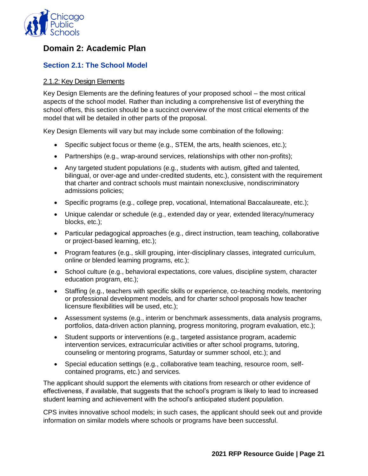

## <span id="page-23-0"></span>**Domain 2: Academic Plan**

#### **Section 2.1: The School Model**

#### 2.1.2: Key Design Elements

Key Design Elements are the defining features of your proposed school – the most critical aspects of the school model. Rather than including a comprehensive list of everything the school offers, this section should be a succinct overview of the most critical elements of the model that will be detailed in other parts of the proposal.

Key Design Elements will vary but may include some combination of the following:

- Specific subject focus or theme (e.g., STEM, the arts, health sciences, etc.);
- Partnerships (e.g., wrap-around services, relationships with other non-profits);
- Any targeted student populations (e.g., students with autism, gifted and talented, bilingual, or over-age and under-credited students, etc.), consistent with the requirement that charter and contract schools must maintain nonexclusive, nondiscriminatory admissions policies;
- Specific programs (e.g., college prep, vocational, International Baccalaureate, etc.);
- Unique calendar or schedule (e.g., extended day or year, extended literacy/numeracy blocks, etc.);
- Particular pedagogical approaches (e.g., direct instruction, team teaching, collaborative or project-based learning, etc.);
- Program features (e.g., skill grouping, inter-disciplinary classes, integrated curriculum, online or blended learning programs, etc.);
- School culture (e.g., behavioral expectations, core values, discipline system, character education program, etc.);
- Staffing (e.g., teachers with specific skills or experience, co-teaching models, mentoring or professional development models, and for charter school proposals how teacher licensure flexibilities will be used, etc.);
- Assessment systems (e.g., interim or benchmark assessments, data analysis programs, portfolios, data-driven action planning, progress monitoring, program evaluation, etc.);
- Student supports or interventions (e.g., targeted assistance program, academic intervention services, extracurricular activities or after school programs, tutoring, counseling or mentoring programs, Saturday or summer school, etc.); and
- Special education settings (e.g., collaborative team teaching, resource room, selfcontained programs, etc.) and services.

The applicant should support the elements with citations from research or other evidence of effectiveness, if available, that suggests that the school's program is likely to lead to increased student learning and achievement with the school's anticipated student population.

CPS invites innovative school models; in such cases, the applicant should seek out and provide information on similar models where schools or programs have been successful.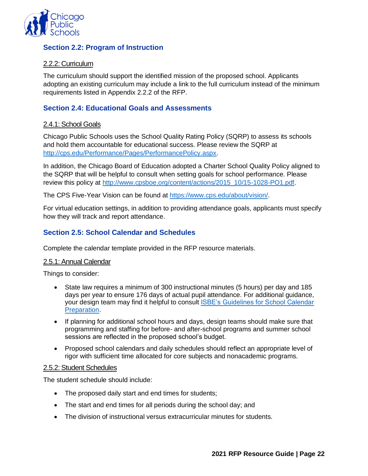

#### **Section 2.2: Program of Instruction**

#### 2.2.2: Curriculum

The curriculum should support the identified mission of the proposed school. Applicants adopting an existing curriculum may include a link to the full curriculum instead of the minimum requirements listed in Appendix 2.2.2 of the RFP.

#### **Section 2.4: Educational Goals and Assessments**

#### 2.4.1: School Goals

Chicago Public Schools uses the School Quality Rating Policy (SQRP) to assess its schools and hold them accountable for educational success. Please review the SQRP at [http://cps.edu/Performance/Pages/PerformancePolicy.aspx.](http://cps.edu/Performance/Pages/PerformancePolicy.aspx)

In addition, the Chicago Board of Education adopted a Charter School Quality Policy aligned to the SQRP that will be helpful to consult when setting goals for school performance. Please review this policy at [http://www.cpsboe.org/content/actions/2015\\_10/15-1028-PO1.pdf.](http://www.cpsboe.org/content/actions/2015_10/15-1028-PO1.pdf)

The CPS Five-Year Vision can be found at [https://www.cps.edu/about/vision/.](https://www.cps.edu/about/vision/)

For virtual education settings, in addition to providing attendance goals, applicants must specify how they will track and report attendance.

#### **Section 2.5: School Calendar and Schedules**

Complete the calendar template provided in the RFP resource materials.

#### 2.5.1: Annual Calendar

Things to consider:

- State law requires a minimum of 300 instructional minutes (5 hours) per day and 185 days per year to ensure 176 days of actual pupil attendance. For additional guidance, your design team may find it helpful to consult [ISBE's Guidelines for School Calendar](https://www.isbe.net/school-calendar) [Preparation.](https://www.isbe.net/school-calendar)
- If planning for additional school hours and days, design teams should make sure that programming and staffing for before- and after-school programs and summer school sessions are reflected in the proposed school's budget.
- Proposed school calendars and daily schedules should reflect an appropriate level of rigor with sufficient time allocated for core subjects and nonacademic programs.

#### 2.5.2: Student Schedules

The student schedule should include:

- The proposed daily start and end times for students;
- The start and end times for all periods during the school day; and
- The division of instructional versus extracurricular minutes for students.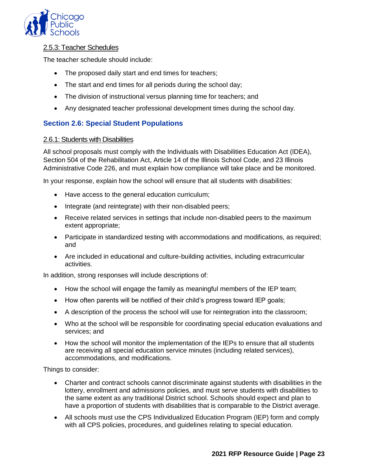

#### 2.5.3: Teacher Schedules

The teacher schedule should include:

- The proposed daily start and end times for teachers;
- The start and end times for all periods during the school day;
- The division of instructional versus planning time for teachers; and
- Any designated teacher professional development times during the school day.

#### **Section 2.6: Special Student Populations**

#### 2.6.1: Students with Disabilities

All school proposals must comply with the Individuals with Disabilities Education Act (IDEA), Section 504 of the Rehabilitation Act, Article 14 of the Illinois School Code, and 23 Illinois Administrative Code 226, and must explain how compliance will take place and be monitored.

In your response, explain how the school will ensure that all students with disabilities:

- Have access to the general education curriculum;
- Integrate (and reintegrate) with their non-disabled peers;
- Receive related services in settings that include non-disabled peers to the maximum extent appropriate;
- Participate in standardized testing with accommodations and modifications, as required; and
- Are included in educational and culture-building activities, including extracurricular activities.

In addition, strong responses will include descriptions of:

- How the school will engage the family as meaningful members of the IEP team;
- How often parents will be notified of their child's progress toward IEP goals;
- A description of the process the school will use for reintegration into the classroom;
- Who at the school will be responsible for coordinating special education evaluations and services; and
- How the school will monitor the implementation of the IEPs to ensure that all students are receiving all special education service minutes (including related services), accommodations, and modifications.

Things to consider:

- Charter and contract schools cannot discriminate against students with disabilities in the lottery, enrollment and admissions policies, and must serve students with disabilities to the same extent as any traditional District school. Schools should expect and plan to have a proportion of students with disabilities that is comparable to the District average.
- All schools must use the CPS Individualized Education Program (IEP) form and comply with all CPS policies, procedures, and guidelines relating to special education.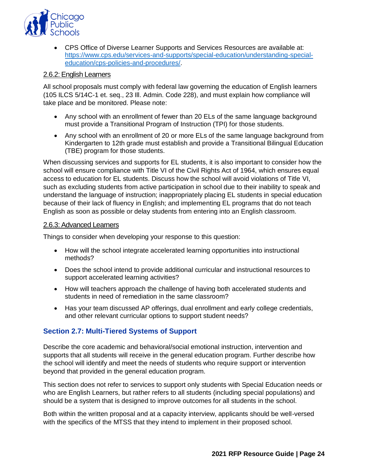

• CPS Office of Diverse Learner Supports and Services Resources are available at: [https://www.cps.edu/services-and-supports/special-education/understanding-special](https://www.cps.edu/services-and-supports/special-education/understanding-special-education/cps-policies-and-procedures/)[education/cps-policies-and-procedures/.](https://www.cps.edu/services-and-supports/special-education/understanding-special-education/cps-policies-and-procedures/)

#### 2.6.2: English Learners

All school proposals must comply with federal law governing the education of English learners (105 ILCS 5/14C-1 et. seq., 23 Ill. Admin. Code 228), and must explain how compliance will take place and be monitored. Please note:

- Any school with an enrollment of fewer than 20 ELs of the same language background must provide a Transitional Program of Instruction (TPI) for those students.
- Any school with an enrollment of 20 or more ELs of the same language background from Kindergarten to 12th grade must establish and provide a Transitional Bilingual Education (TBE) program for those students.

When discussing services and supports for EL students, it is also important to consider how the school will ensure compliance with Title VI of the Civil Rights Act of 1964, which ensures equal access to education for EL students. Discuss how the school will avoid violations of Title VI, such as excluding students from active participation in school due to their inability to speak and understand the language of instruction; inappropriately placing EL students in special education because of their lack of fluency in English; and implementing EL programs that do not teach English as soon as possible or delay students from entering into an English classroom.

#### 2.6.3: Advanced Learners

Things to consider when developing your response to this question:

- How will the school integrate accelerated learning opportunities into instructional methods?
- Does the school intend to provide additional curricular and instructional resources to support accelerated learning activities?
- How will teachers approach the challenge of having both accelerated students and students in need of remediation in the same classroom?
- Has your team discussed AP offerings, dual enrollment and early college credentials, and other relevant curricular options to support student needs?

#### **Section 2.7: Multi-Tiered Systems of Support**

Describe the core academic and behavioral/social emotional instruction, intervention and supports that all students will receive in the general education program. Further describe how the school will identify and meet the needs of students who require support or intervention beyond that provided in the general education program.

This section does not refer to services to support only students with Special Education needs or who are English Learners, but rather refers to all students (including special populations) and should be a system that is designed to improve outcomes for all students in the school.

Both within the written proposal and at a capacity interview, applicants should be well-versed with the specifics of the MTSS that they intend to implement in their proposed school.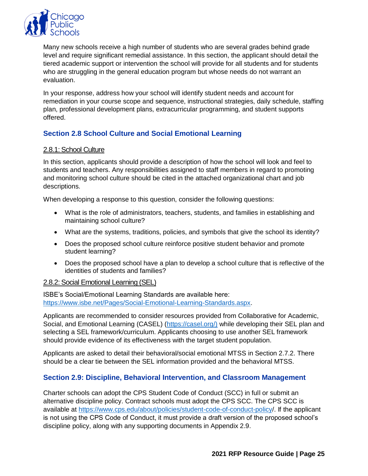

Many new schools receive a high number of students who are several grades behind grade level and require significant remedial assistance. In this section, the applicant should detail the tiered academic support or intervention the school will provide for all students and for students who are struggling in the general education program but whose needs do not warrant an evaluation.

In your response, address how your school will identify student needs and account for remediation in your course scope and sequence, instructional strategies, daily schedule, staffing plan, professional development plans, extracurricular programming, and student supports offered.

## **Section 2.8 School Culture and Social Emotional Learning**

#### 2.8.1: School Culture

In this section, applicants should provide a description of how the school will look and feel to students and teachers. Any responsibilities assigned to staff members in regard to promoting and monitoring school culture should be cited in the attached organizational chart and job descriptions.

When developing a response to this question, consider the following questions:

- What is the role of administrators, teachers, students, and families in establishing and maintaining school culture?
- What are the systems, traditions, policies, and symbols that give the school its identity?
- Does the proposed school culture reinforce positive student behavior and promote student learning?
- Does the proposed school have a plan to develop a school culture that is reflective of the identities of students and families?

#### 2.8.2: Social Emotional Learning (SEL)

ISBE's Social/Emotional Learning Standards are available here: [https://www.isbe.net/Pages/Social-Emotional-Learning-Standards.aspx.](https://www.isbe.net/Pages/Social-Emotional-Learning-Standards.aspx)

Applicants are recommended to consider resources provided from Collaborative for Academic, Social, and Emotional Learning (CASEL) [\(https://casel.org/\)](https://casel.org/)) while developing their SEL plan and selecting a SEL framework/curriculum. Applicants choosing to use another SEL framework should provide evidence of its effectiveness with the target student population.

Applicants are asked to detail their behavioral/social emotional MTSS in Section 2.7.2. There should be a clear tie between the SEL information provided and the behavioral MTSS.

#### **Section 2.9: Discipline, Behavioral Intervention, and Classroom Management**

Charter schools can adopt the CPS Student Code of Conduct (SCC) in full or submit an alternative discipline policy. Contract schools must adopt the CPS SCC. The CPS SCC is available at<https://www.cps.edu/about/policies/student-code-of-conduct-policy/>. If the applicant is not using the CPS Code of Conduct, it must provide a draft version of the proposed school's discipline policy, along with any supporting documents in Appendix 2.9.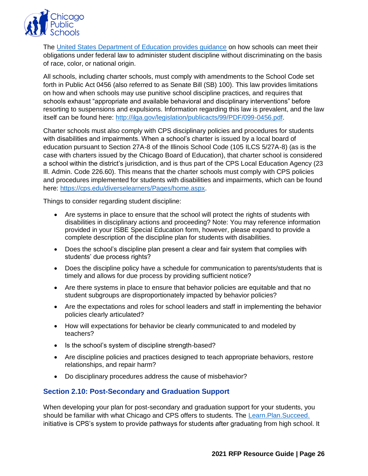

The [United States Department of Education provides guidance](https://www2.ed.gov/policy/gen/guid/school-discipline/index.html) on how schools can meet their obligations under federal law to administer student discipline without discriminating on the basis of race, color, or national origin.

All schools, including charter schools, must comply with amendments to the School Code set forth in Public Act 0456 (also referred to as Senate Bill (SB) 100). This law provides limitations on how and when schools may use punitive school discipline practices, and requires that schools exhaust "appropriate and available behavioral and disciplinary interventions" before resorting to suspensions and expulsions. Information regarding this law is prevalent, and the law itself can be found here: [http://ilga.gov/legislation/publicacts/99/PDF/099-0456.pdf.](http://ilga.gov/legislation/publicacts/99/PDF/099-0456.pdf)

Charter schools must also comply with CPS disciplinary policies and procedures for students with disabilities and impairments. When a school's charter is issued by a local board of education pursuant to Section 27A-8 of the Illinois School Code (105 ILCS 5/27A-8) (as is the case with charters issued by the Chicago Board of Education), that charter school is considered a school within the district's jurisdiction, and is thus part of the CPS Local Education Agency (23 Ill. Admin. Code 226.60). This means that the charter schools must comply with CPS policies and procedures implemented for students with disabilities and impairments, which can be found here: [https://cps.edu/diverselearners/Pages/home.aspx.](https://cps.edu/diverselearners/Pages/home.aspx)

Things to consider regarding student discipline:

- Are systems in place to ensure that the school will protect the rights of students with disabilities in disciplinary actions and proceeding? Note: You may reference information provided in your ISBE Special Education form, however, please expand to provide a complete description of the discipline plan for students with disabilities.
- Does the school's discipline plan present a clear and fair system that complies with students' due process rights?
- Does the discipline policy have a schedule for communication to parents/students that is timely and allows for due process by providing sufficient notice?
- Are there systems in place to ensure that behavior policies are equitable and that no student subgroups are disproportionately impacted by behavior policies?
- Are the expectations and roles for school leaders and staff in implementing the behavior policies clearly articulated?
- How will expectations for behavior be clearly communicated to and modeled by teachers?
- Is the school's system of discipline strength-based?
- Are discipline policies and practices designed to teach appropriate behaviors, restore relationships, and repair harm?
- Do disciplinary procedures address the cause of misbehavior?

#### **Section 2.10: Post-Secondary and Graduation Support**

When developing your plan for post-secondary and graduation support for your students, you should be familiar with what Chicago and CPS offers to students. The Learn. Plan. Succeed. initiative is CPS's system to provide pathways for students after graduating from high school. It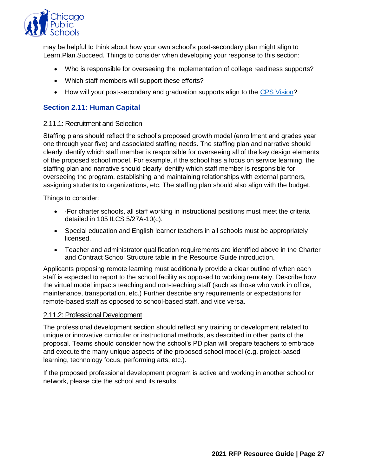

may be helpful to think about how your own school's post-secondary plan might align to Learn.Plan.Succeed. Things to consider when developing your response to this section:

- Who is responsible for overseeing the implementation of college readiness supports?
- Which staff members will support these efforts?
- How will your post-secondary and graduation supports align to the [CPS Vision?](https://www.cps.edu/about/vision/)

#### **Section 2.11: Human Capital**

#### 2.11.1: Recruitment and Selection

Staffing plans should reflect the school's proposed growth model (enrollment and grades year one through year five) and associated staffing needs. The staffing plan and narrative should clearly identify which staff member is responsible for overseeing all of the key design elements of the proposed school model. For example, if the school has a focus on service learning, the staffing plan and narrative should clearly identify which staff member is responsible for overseeing the program, establishing and maintaining relationships with external partners, assigning students to organizations, etc. The staffing plan should also align with the budget.

Things to consider:

- ∙For charter schools, all staff working in instructional positions must meet the criteria detailed in 105 ILCS 5/27A-10(c).
- Special education and English learner teachers in all schools must be appropriately licensed.
- Teacher and administrator qualification requirements are identified above in the Charter and Contract School Structure table in the Resource Guide introduction.

Applicants proposing remote learning must additionally provide a clear outline of when each staff is expected to report to the school facility as opposed to working remotely. Describe how the virtual model impacts teaching and non-teaching staff (such as those who work in office, maintenance, transportation, etc.) Further describe any requirements or expectations for remote-based staff as opposed to school-based staff, and vice versa.

#### 2.11.2: Professional Development

The professional development section should reflect any training or development related to unique or innovative curricular or instructional methods, as described in other parts of the proposal. Teams should consider how the school's PD plan will prepare teachers to embrace and execute the many unique aspects of the proposed school model (e.g. project-based learning, technology focus, performing arts, etc.).

If the proposed professional development program is active and working in another school or network, please cite the school and its results.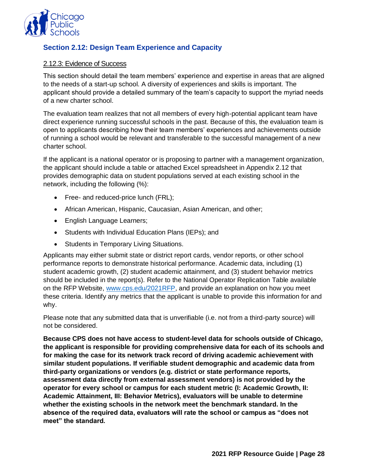

## **Section 2.12: Design Team Experience and Capacity**

#### 2.12.3: Evidence of Success

This section should detail the team members' experience and expertise in areas that are aligned to the needs of a start-up school. A diversity of experiences and skills is important. The applicant should provide a detailed summary of the team's capacity to support the myriad needs of a new charter school.

The evaluation team realizes that not all members of every high-potential applicant team have direct experience running successful schools in the past. Because of this, the evaluation team is open to applicants describing how their team members' experiences and achievements outside of running a school would be relevant and transferable to the successful management of a new charter school.

If the applicant is a national operator or is proposing to partner with a management organization, the applicant should include a table or attached Excel spreadsheet in Appendix 2.12 that provides demographic data on student populations served at each existing school in the network, including the following (%):

- Free- and reduced-price lunch (FRL);
- African American, Hispanic, Caucasian, Asian American, and other;
- English Language Learners;
- Students with Individual Education Plans (IEPs); and
- Students in Temporary Living Situations.

Applicants may either submit state or district report cards, vendor reports, or other school performance reports to demonstrate historical performance. Academic data, including (1) student academic growth, (2) student academic attainment, and (3) student behavior metrics should be included in the report(s). Refer to the National Operator Replication Table available on the RFP Website, [www.cps.edu/2021RFP,](http://www.cps.edu/2021RFP) and provide an explanation on how you meet these criteria. Identify any metrics that the applicant is unable to provide this information for and why.

Please note that any submitted data that is unverifiable (i.e. not from a third-party source) will not be considered.

**Because CPS does not have access to student-level data for schools outside of Chicago, the applicant is responsible for providing comprehensive data for each of its schools and for making the case for its network track record of driving academic achievement with similar student populations. If verifiable student demographic and academic data from third-party organizations or vendors (e.g. district or state performance reports, assessment data directly from external assessment vendors) is not provided by the operator for every school or campus for each student metric (I: Academic Growth, II: Academic Attainment, III: Behavior Metrics), evaluators will be unable to determine whether the existing schools in the network meet the benchmark standard. In the absence of the required data, evaluators will rate the school or campus as "does not meet" the standard.**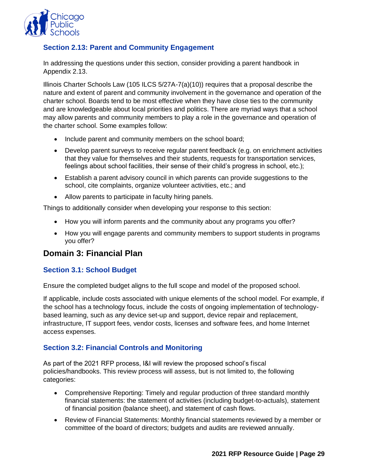

#### **Section 2.13: Parent and Community Engagement**

In addressing the questions under this section, consider providing a parent handbook in Appendix 2.13.

Illinois Charter Schools Law (105 ILCS 5/27A-7(a)(10)) requires that a proposal describe the nature and extent of parent and community involvement in the governance and operation of the charter school. Boards tend to be most effective when they have close ties to the community and are knowledgeable about local priorities and politics. There are myriad ways that a school may allow parents and community members to play a role in the governance and operation of the charter school. Some examples follow:

- Include parent and community members on the school board;
- Develop parent surveys to receive regular parent feedback (e.g. on enrichment activities that they value for themselves and their students, requests for transportation services, feelings about school facilities, their sense of their child's progress in school, etc.);
- Establish a parent advisory council in which parents can provide suggestions to the school, cite complaints, organize volunteer activities, etc.; and
- Allow parents to participate in faculty hiring panels.

Things to additionally consider when developing your response to this section:

- How you will inform parents and the community about any programs you offer?
- How you will engage parents and community members to support students in programs you offer?

## <span id="page-31-0"></span>**Domain 3: Financial Plan**

#### **Section 3.1: School Budget**

Ensure the completed budget aligns to the full scope and model of the proposed school.

If applicable, include costs associated with unique elements of the school model. For example, if the school has a technology focus, include the costs of ongoing implementation of technologybased learning, such as any device set-up and support, device repair and replacement, infrastructure, IT support fees, vendor costs, licenses and software fees, and home Internet access expenses.

#### **Section 3.2: Financial Controls and Monitoring**

As part of the 2021 RFP process, I&I will review the proposed school's fiscal policies/handbooks. This review process will assess, but is not limited to, the following categories:

- Comprehensive Reporting: Timely and regular production of three standard monthly financial statements: the statement of activities (including budget-to-actuals), statement of financial position (balance sheet), and statement of cash flows.
- Review of Financial Statements: Monthly financial statements reviewed by a member or committee of the board of directors; budgets and audits are reviewed annually.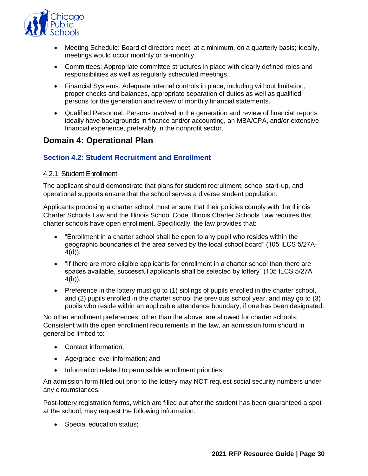

- Meeting Schedule: Board of directors meet, at a minimum, on a quarterly basis; ideally, meetings would occur monthly or bi-monthly.
- Committees: Appropriate committee structures in place with clearly defined roles and responsibilities as well as regularly scheduled meetings.
- Financial Systems: Adequate internal controls in place, including without limitation, proper checks and balances, appropriate separation of duties as well as qualified persons for the generation and review of monthly financial statements.
- Qualified Personnel: Persons involved in the generation and review of financial reports ideally have backgrounds in finance and/or accounting, an MBA/CPA, and/or extensive financial experience, preferably in the nonprofit sector.

## <span id="page-32-0"></span>**Domain 4: Operational Plan**

#### **Section 4.2: Student Recruitment and Enrollment**

#### 4.2.1: Student Enrollment

The applicant should demonstrate that plans for student recruitment, school start-up, and operational supports ensure that the school serves a diverse student population.

Applicants proposing a charter school must ensure that their policies comply with the Illinois Charter Schools Law and the Illinois School Code. Illinois Charter Schools Law requires that charter schools have open enrollment. Specifically, the law provides that:

- "Enrollment in a charter school shall be open to any pupil who resides within the geographic boundaries of the area served by the local school board" (105 ILCS 5/27A- $4(d)$ ).
- "If there are more eligible applicants for enrollment in a charter school than there are spaces available, successful applicants shall be selected by lottery" (105 ILCS 5/27A 4(h)).
- Preference in the lottery must go to (1) siblings of pupils enrolled in the charter school, and (2) pupils enrolled in the charter school the previous school year, and may go to (3) pupils who reside within an applicable attendance boundary, if one has been designated.

No other enrollment preferences, other than the above, are allowed for charter schools. Consistent with the open enrollment requirements in the law, an admission form should in general be limited to:

- Contact information;
- Age/grade level information; and
- Information related to permissible enrollment priorities.

An admission form filled out prior to the lottery may NOT request social security numbers under any circumstances.

Post-lottery registration forms, which are filled out after the student has been guaranteed a spot at the school, may request the following information:

• Special education status;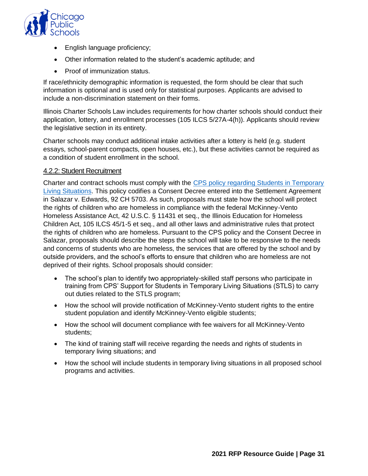

- English language proficiency;
- Other information related to the student's academic aptitude; and
- Proof of immunization status.

If race/ethnicity demographic information is requested, the form should be clear that such information is optional and is used only for statistical purposes. Applicants are advised to include a non-discrimination statement on their forms.

Illinois Charter Schools Law includes requirements for how charter schools should conduct their application, lottery, and enrollment processes (105 ILCS 5/27A-4(h)). Applicants should review the legislative section in its entirety.

Charter schools may conduct additional intake activities after a lottery is held (e.g. student essays, school-parent compacts, open houses, etc.), but these activities cannot be required as a condition of student enrollment in the school.

#### 4.2.2: Student Recruitment

Charter and contract schools must comply with the [CPS policy regarding Students in Temporary](https://policy.cps.edu/download.aspx?ID=128)  [Living Situations.](https://policy.cps.edu/download.aspx?ID=128) This policy codifies a Consent Decree entered into the Settlement Agreement in Salazar v. Edwards, 92 CH 5703. As such, proposals must state how the school will protect the rights of children who are homeless in compliance with the federal McKinney-Vento Homeless Assistance Act, 42 U.S.C. § 11431 et seq., the Illinois Education for Homeless Children Act, 105 ILCS 45/1-5 et seq., and all other laws and administrative rules that protect the rights of children who are homeless. Pursuant to the CPS policy and the Consent Decree in Salazar, proposals should describe the steps the school will take to be responsive to the needs and concerns of students who are homeless, the services that are offered by the school and by outside providers, and the school's efforts to ensure that children who are homeless are not deprived of their rights. School proposals should consider:

- The school's plan to identify two appropriately-skilled staff persons who participate in training from CPS' Support for Students in Temporary Living Situations (STLS) to carry out duties related to the STLS program;
- How the school will provide notification of McKinney-Vento student rights to the entire student population and identify McKinney-Vento eligible students;
- How the school will document compliance with fee waivers for all McKinney-Vento students;
- The kind of training staff will receive regarding the needs and rights of students in temporary living situations; and
- How the school will include students in temporary living situations in all proposed school programs and activities.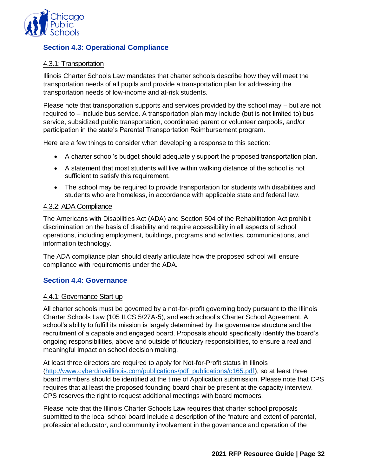

## **Section 4.3: Operational Compliance**

#### 4.3.1: Transportation

Illinois Charter Schools Law mandates that charter schools describe how they will meet the transportation needs of all pupils and provide a transportation plan for addressing the transportation needs of low-income and at-risk students.

Please note that transportation supports and services provided by the school may – but are not required to – include bus service. A transportation plan may include (but is not limited to) bus service, subsidized public transportation, coordinated parent or volunteer carpools, and/or participation in the state's Parental Transportation Reimbursement program.

Here are a few things to consider when developing a response to this section:

- A charter school's budget should adequately support the proposed transportation plan.
- A statement that most students will live within walking distance of the school is not sufficient to satisfy this requirement.
- The school may be required to provide transportation for students with disabilities and students who are homeless, in accordance with applicable state and federal law.

#### 4.3.2: ADA Compliance

The Americans with Disabilities Act (ADA) and Section 504 of the Rehabilitation Act prohibit discrimination on the basis of disability and require accessibility in all aspects of school operations, including employment, buildings, programs and activities, communications, and information technology.

The ADA compliance plan should clearly articulate how the proposed school will ensure compliance with requirements under the ADA.

#### **Section 4.4: Governance**

#### 4.4.1: Governance Start-up

All charter schools must be governed by a not-for-profit governing body pursuant to the Illinois Charter Schools Law (105 ILCS 5/27A-5), and each school's Charter School Agreement. A school's ability to fulfill its mission is largely determined by the governance structure and the recruitment of a capable and engaged board. Proposals should specifically identify the board's ongoing responsibilities, above and outside of fiduciary responsibilities, to ensure a real and meaningful impact on school decision making.

At least three directors are required to apply for Not-for-Profit status in Illinois [\(http://www.cyberdriveillinois.com/publications/pdf\\_publications/c165.pdf\)](http://www.cyberdriveillinois.com/publications/pdf_publications/c165.pdf), so at least three board members should be identified at the time of Application submission. Please note that CPS requires that at least the proposed founding board chair be present at the capacity interview. CPS reserves the right to request additional meetings with board members.

Please note that the Illinois Charter Schools Law requires that charter school proposals submitted to the local school board include a description of the "nature and extent of parental, professional educator, and community involvement in the governance and operation of the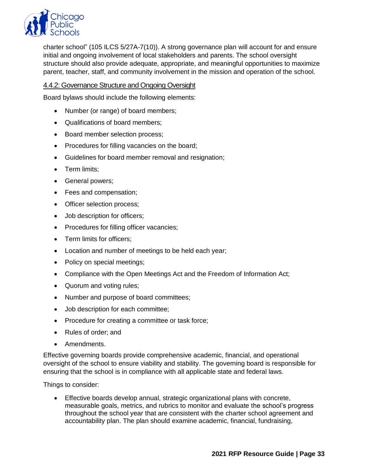

charter school" (105 ILCS 5/27A-7(10)). A strong governance plan will account for and ensure initial and ongoing involvement of local stakeholders and parents. The school oversight structure should also provide adequate, appropriate, and meaningful opportunities to maximize parent, teacher, staff, and community involvement in the mission and operation of the school.

#### 4.4.2: Governance Structure and Ongoing Oversight

Board bylaws should include the following elements:

- Number (or range) of board members;
- Qualifications of board members;
- Board member selection process;
- Procedures for filling vacancies on the board;
- Guidelines for board member removal and resignation;
- Term limits;
- General powers;
- Fees and compensation;
- Officer selection process;
- Job description for officers;
- Procedures for filling officer vacancies;
- Term limits for officers;
- Location and number of meetings to be held each year;
- Policy on special meetings;
- Compliance with the Open Meetings Act and the Freedom of Information Act;
- Quorum and voting rules;
- Number and purpose of board committees;
- Job description for each committee;
- Procedure for creating a committee or task force;
- Rules of order; and
- Amendments.

Effective governing boards provide comprehensive academic, financial, and operational oversight of the school to ensure viability and stability. The governing board is responsible for ensuring that the school is in compliance with all applicable state and federal laws.

Things to consider:

• Effective boards develop annual, strategic organizational plans with concrete, measurable goals, metrics, and rubrics to monitor and evaluate the school's progress throughout the school year that are consistent with the charter school agreement and accountability plan. The plan should examine academic, financial, fundraising,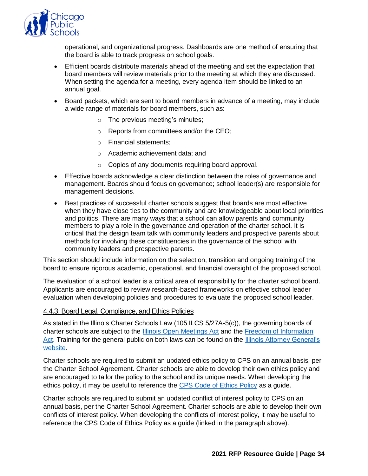

operational, and organizational progress. Dashboards are one method of ensuring that the board is able to track progress on school goals.

- Efficient boards distribute materials ahead of the meeting and set the expectation that board members will review materials prior to the meeting at which they are discussed. When setting the agenda for a meeting, every agenda item should be linked to an annual goal.
- Board packets, which are sent to board members in advance of a meeting, may include a wide range of materials for board members, such as:
	- $\circ$  The previous meeting's minutes;
	- o Reports from committees and/or the CEO;
	- o Financial statements;
	- o Academic achievement data; and
	- o Copies of any documents requiring board approval.
- Effective boards acknowledge a clear distinction between the roles of governance and management. Boards should focus on governance; school leader(s) are responsible for management decisions.
- Best practices of successful charter schools suggest that boards are most effective when they have close ties to the community and are knowledgeable about local priorities and politics. There are many ways that a school can allow parents and community members to play a role in the governance and operation of the charter school. It is critical that the design team talk with community leaders and prospective parents about methods for involving these constituencies in the governance of the school with community leaders and prospective parents.

This section should include information on the selection, transition and ongoing training of the board to ensure rigorous academic, operational, and financial oversight of the proposed school.

The evaluation of a school leader is a critical area of responsibility for the charter school board. Applicants are encouraged to review research-based frameworks on effective school leader evaluation when developing policies and procedures to evaluate the proposed school leader.

#### 4.4.3: Board Legal, Compliance, and Ethics Policies

As stated in the Illinois Charter Schools Law (105 ILCS 5/27A-5(c)), the governing boards of charter schools are subject to the [Illinois Open Meetings Act](http://www.ilga.gov/legislation/ilcs/ilcs3.asp?ActID=84&ChapterID=2) and the [Freedom of Information](http://www.ilga.gov/legislation/ilcs/ilcs3.asp?ActID=85&ChapterID=2) [Act.](http://www.ilga.gov/legislation/ilcs/ilcs3.asp?ActID=85&ChapterID=2) Training for the general public on both laws can be found on the [Illinois Attorney General's](http://foia.ilattorneygeneral.net/Training.aspx) [website.](http://foia.ilattorneygeneral.net/Training.aspx)

Charter schools are required to submit an updated ethics policy to CPS on an annual basis, per the Charter School Agreement. Charter schools are able to develop their own ethics policy and are encouraged to tailor the policy to the school and its unique needs. When developing the ethics policy, it may be useful to reference the [CPS Code of Ethics Policy](http://www.cps.edu/About_CPS/Policies_and_guidelines/documents/CPSCodeofEthics.pdf) as a guide.

Charter schools are required to submit an updated conflict of interest policy to CPS on an annual basis, per the Charter School Agreement. Charter schools are able to develop their own conflicts of interest policy. When developing the conflicts of interest policy, it may be useful to reference the CPS Code of Ethics Policy as a guide (linked in the paragraph above).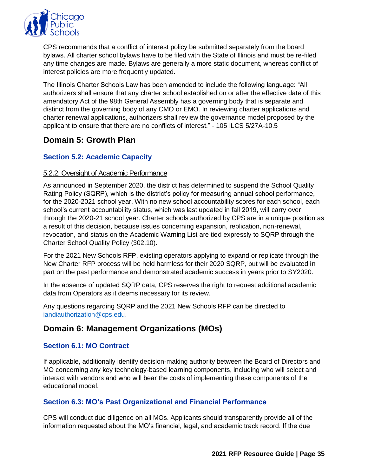

CPS recommends that a conflict of interest policy be submitted separately from the board bylaws. All charter school bylaws have to be filed with the State of Illinois and must be re-filed any time changes are made. Bylaws are generally a more static document, whereas conflict of interest policies are more frequently updated.

The Illinois Charter Schools Law has been amended to include the following language: "All authorizers shall ensure that any charter school established on or after the effective date of this amendatory Act of the 98th General Assembly has a governing body that is separate and distinct from the governing body of any CMO or EMO. In reviewing charter applications and charter renewal applications, authorizers shall review the governance model proposed by the applicant to ensure that there are no conflicts of interest." - 105 ILCS 5/27A-10.5

## <span id="page-37-0"></span>**Domain 5: Growth Plan**

#### **Section 5.2: Academic Capacity**

#### 5.2.2: Oversight of Academic Performance

As announced in September 2020, the district has determined to suspend the School Quality Rating Policy (SQRP), which is the district's policy for measuring annual school performance, for the 2020-2021 school year. With no new school accountability scores for each school, each school's current accountability status, which was last updated in fall 2019, will carry over through the 2020-21 school year. Charter schools authorized by CPS are in a unique position as a result of this decision, because issues concerning expansion, replication, non-renewal, revocation, and status on the Academic Warning List are tied expressly to SQRP through the Charter School Quality Policy (302.10).

For the 2021 New Schools RFP, existing operators applying to expand or replicate through the New Charter RFP process will be held harmless for their 2020 SQRP, but will be evaluated in part on the past performance and demonstrated academic success in years prior to SY2020.

In the absence of updated SQRP data, CPS reserves the right to request additional academic data from Operators as it deems necessary for its review.

Any questions regarding SQRP and the 2021 New Schools RFP can be directed to [iandiauthorization@cps.edu.](mailto:iandiauthorization@cps.edu)

## <span id="page-37-1"></span>**Domain 6: Management Organizations (MOs)**

#### **Section 6.1: MO Contract**

If applicable, additionally identify decision-making authority between the Board of Directors and MO concerning any key technology-based learning components, including who will select and interact with vendors and who will bear the costs of implementing these components of the educational model.

#### **Section 6.3: MO's Past Organizational and Financial Performance**

CPS will conduct due diligence on all MOs. Applicants should transparently provide all of the information requested about the MO's financial, legal, and academic track record. If the due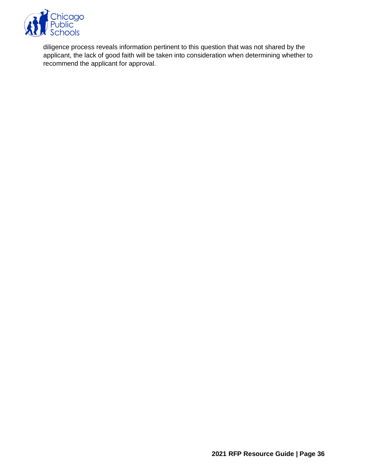

diligence process reveals information pertinent to this question that was not shared by the applicant, the lack of good faith will be taken into consideration when determining whether to recommend the applicant for approval.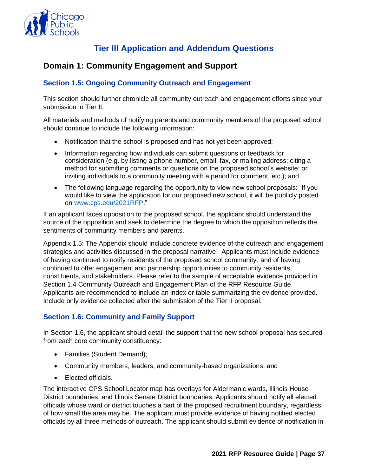

## **Tier III Application and Addendum Questions**

## <span id="page-39-1"></span><span id="page-39-0"></span>**Domain 1: Community Engagement and Support**

#### **Section 1.5: Ongoing Community Outreach and Engagement**

This section should further chronicle all community outreach and engagement efforts since your submission in Tier II.

All materials and methods of notifying parents and community members of the proposed school should continue to include the following information:

- Notification that the school is proposed and has not yet been approved;
- Information regarding how individuals can submit questions or feedback for consideration (e.g. by listing a phone number, email, fax, or mailing address; citing a method for submitting comments or questions on the proposed school's website; or inviting individuals to a community meeting with a period for comment, etc.); and
- The following language regarding the opportunity to view new school proposals: "If you would like to view the application for our proposed new school, it will be publicly posted on [www.cps.edu/2021RFP.](http://www.cps.edu/2021RFP)"

If an applicant faces opposition to the proposed school, the applicant should understand the source of the opposition and seek to determine the degree to which the opposition reflects the sentiments of community members and parents.

Appendix 1.5: The Appendix should include concrete evidence of the outreach and engagement strategies and activities discussed in the proposal narrative. Applicants must include evidence of having continued to notify residents of the proposed school community, and of having continued to offer engagement and partnership opportunities to community residents, constituents, and stakeholders. Please refer to the sample of acceptable evidence provided in Section 1.4 Community Outreach and Engagement Plan of the RFP Resource Guide. Applicants are recommended to include an index or table summarizing the evidence provided. Include only evidence collected after the submission of the Tier II proposal.

#### **Section 1.6: Community and Family Support**

In Section 1.6, the applicant should detail the support that the new school proposal has secured from each core community constituency:

- Families (Student Demand);
- Community members, leaders, and community-based organizations; and
- Elected officials.

The interactive CPS School Locator map has overlays for Aldermanic wards, Illinois House District boundaries, and Illinois Senate District boundaries. Applicants should notify all elected officials whose ward or district touches a part of the proposed recruitment boundary, regardless of how small the area may be. The applicant must provide evidence of having notified elected officials by all three methods of outreach. The applicant should submit evidence of notification in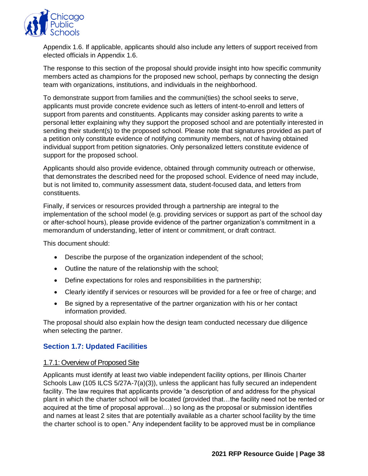

Appendix 1.6. If applicable, applicants should also include any letters of support received from elected officials in Appendix 1.6.

The response to this section of the proposal should provide insight into how specific community members acted as champions for the proposed new school, perhaps by connecting the design team with organizations, institutions, and individuals in the neighborhood.

To demonstrate support from families and the communi(ties) the school seeks to serve, applicants must provide concrete evidence such as letters of intent-to-enroll and letters of support from parents and constituents. Applicants may consider asking parents to write a personal letter explaining why they support the proposed school and are potentially interested in sending their student(s) to the proposed school. Please note that signatures provided as part of a petition only constitute evidence of notifying community members, not of having obtained individual support from petition signatories. Only personalized letters constitute evidence of support for the proposed school.

Applicants should also provide evidence, obtained through community outreach or otherwise, that demonstrates the described need for the proposed school. Evidence of need may include, but is not limited to, community assessment data, student-focused data, and letters from constituents.

Finally, if services or resources provided through a partnership are integral to the implementation of the school model (e.g. providing services or support as part of the school day or after-school hours), please provide evidence of the partner organization's commitment in a memorandum of understanding, letter of intent or commitment, or draft contract.

This document should:

- Describe the purpose of the organization independent of the school;
- Outline the nature of the relationship with the school;
- Define expectations for roles and responsibilities in the partnership;
- Clearly identify if services or resources will be provided for a fee or free of charge; and
- Be signed by a representative of the partner organization with his or her contact information provided.

The proposal should also explain how the design team conducted necessary due diligence when selecting the partner.

#### **Section 1.7: Updated Facilities**

#### 1.7.1: Overview of Proposed Site

Applicants must identify at least two viable independent facility options, per Illinois Charter Schools Law (105 ILCS 5/27A-7(a)(3)), unless the applicant has fully secured an independent facility. The law requires that applicants provide "a description of and address for the physical plant in which the charter school will be located (provided that…the facility need not be rented or acquired at the time of proposal approval…) so long as the proposal or submission identifies and names at least 2 sites that are potentially available as a charter school facility by the time the charter school is to open." Any independent facility to be approved must be in compliance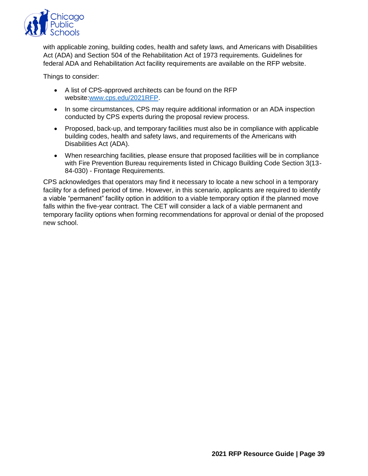

with applicable zoning, building codes, health and safety laws, and Americans with Disabilities Act (ADA) and Section 504 of the Rehabilitation Act of 1973 requirements. Guidelines for federal ADA and Rehabilitation Act facility requirements are available on the RFP website.

Things to consider:

- A list of CPS-approved architects can be found on the RFP website[:www.cps.edu/2021RFP.](http://www.cps.edu/2021RFP)
- In some circumstances, CPS may require additional information or an ADA inspection conducted by CPS experts during the proposal review process.
- Proposed, back-up, and temporary facilities must also be in compliance with applicable building codes, health and safety laws, and requirements of the Americans with Disabilities Act (ADA).
- When researching facilities, please ensure that proposed facilities will be in compliance with Fire Prevention Bureau requirements listed in Chicago Building Code Section 3(13- 84-030) - Frontage Requirements.

CPS acknowledges that operators may find it necessary to locate a new school in a temporary facility for a defined period of time. However, in this scenario, applicants are required to identify a viable "permanent" facility option in addition to a viable temporary option if the planned move falls within the five-year contract. The CET will consider a lack of a viable permanent and temporary facility options when forming recommendations for approval or denial of the proposed new school.